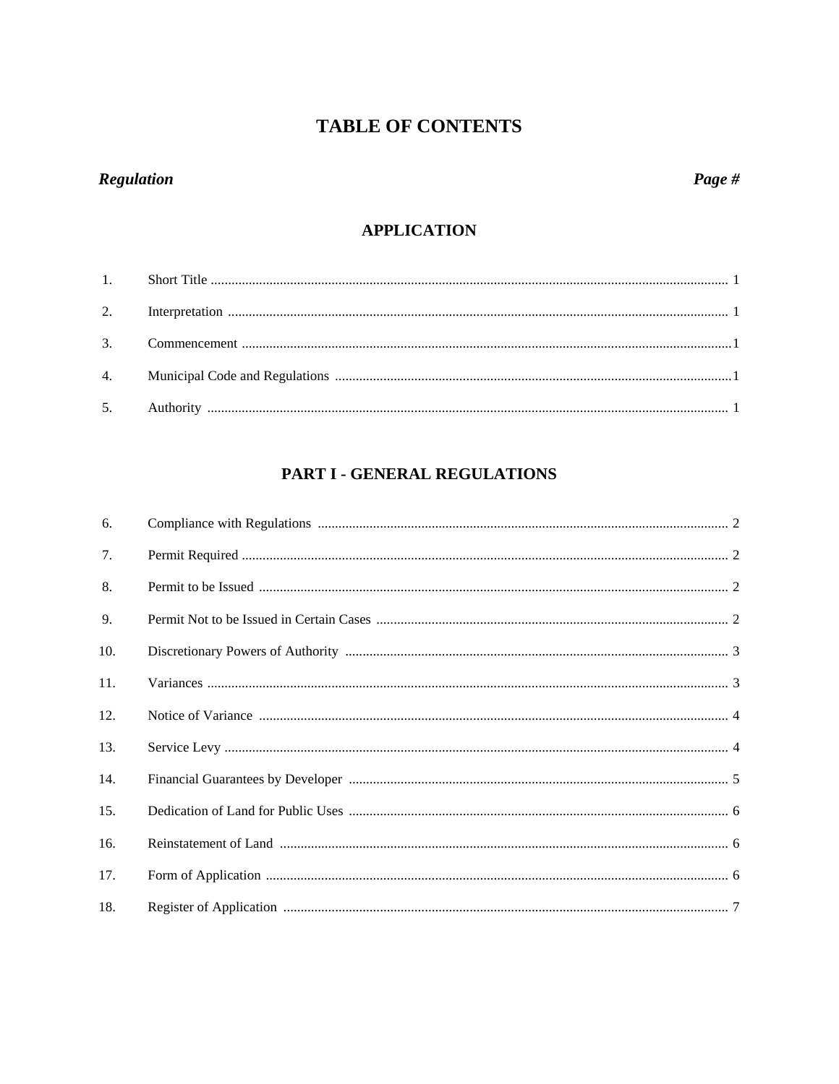## Regulation

## **APPLICATION**

## PART I - GENERAL REGULATIONS

| 6.  |  |
|-----|--|
| 7.  |  |
| 8.  |  |
| 9.  |  |
| 10. |  |
| 11. |  |
| 12. |  |
| 13. |  |
| 14. |  |
| 15. |  |
| 16. |  |
| 17. |  |
| 18. |  |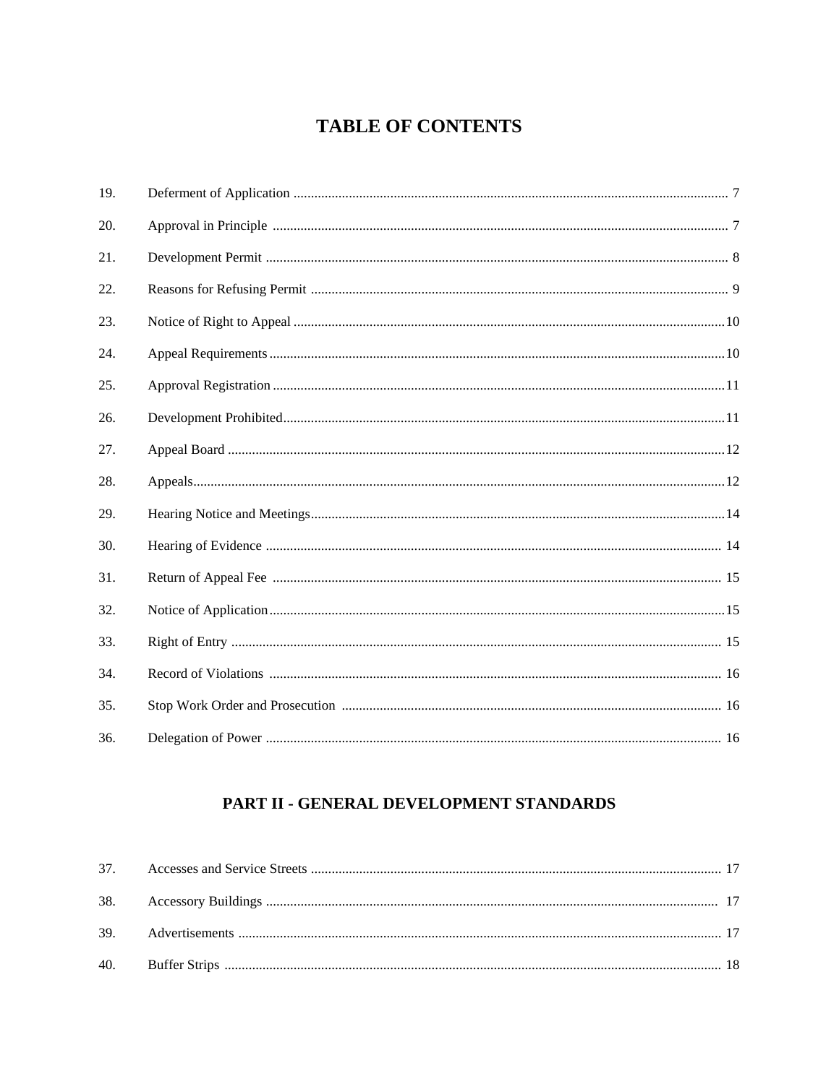| 19. |  |
|-----|--|
| 20. |  |
| 21. |  |
| 22. |  |
| 23. |  |
| 24. |  |
| 25. |  |
| 26. |  |
| 27. |  |
| 28. |  |
| 29. |  |
| 30. |  |
| 31. |  |
| 32. |  |
| 33. |  |
| 34. |  |
| 35. |  |
| 36. |  |

## PART II - GENERAL DEVELOPMENT STANDARDS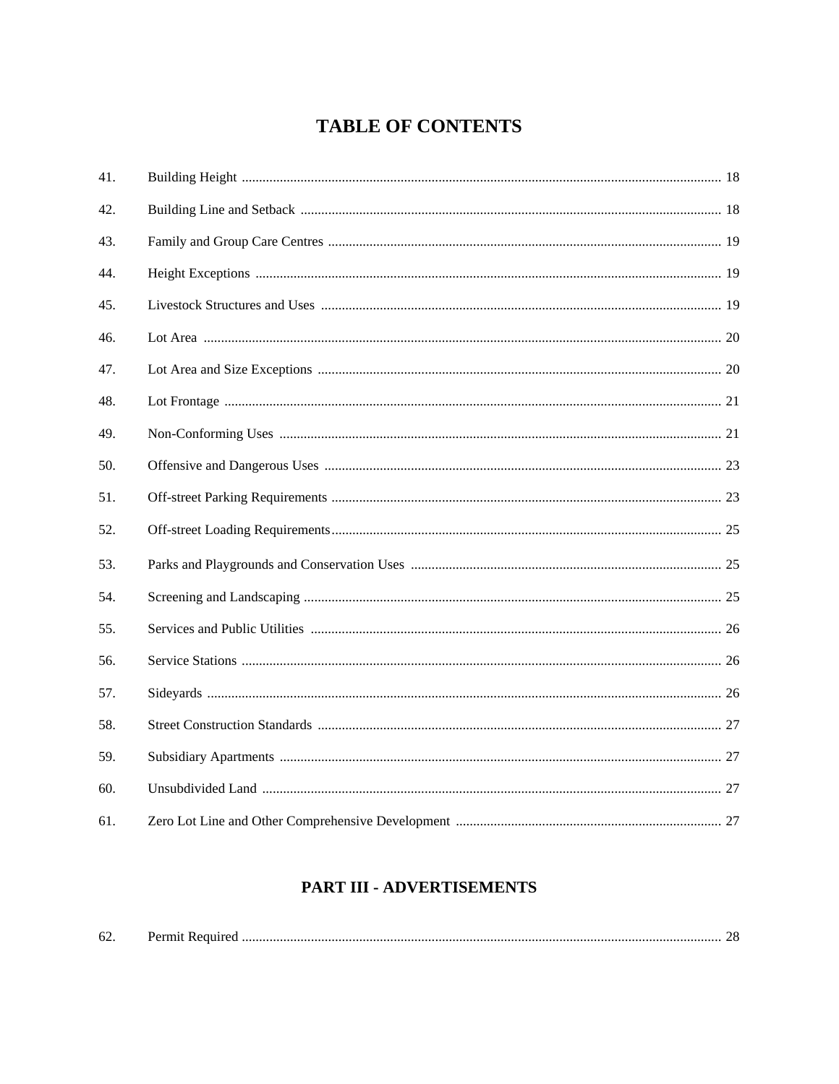| 41. |  |
|-----|--|
| 42. |  |
| 43. |  |
| 44. |  |
| 45. |  |
| 46. |  |
| 47. |  |
| 48. |  |
| 49. |  |
| 50. |  |
| 51. |  |
| 52. |  |
| 53. |  |
| 54. |  |
| 55. |  |
| 56. |  |
| 57. |  |
| 58. |  |
| 59. |  |
| 60. |  |
| 61. |  |

## PART III - ADVERTISEMENTS

| $\sim$<br>62 |  |  |
|--------------|--|--|
|--------------|--|--|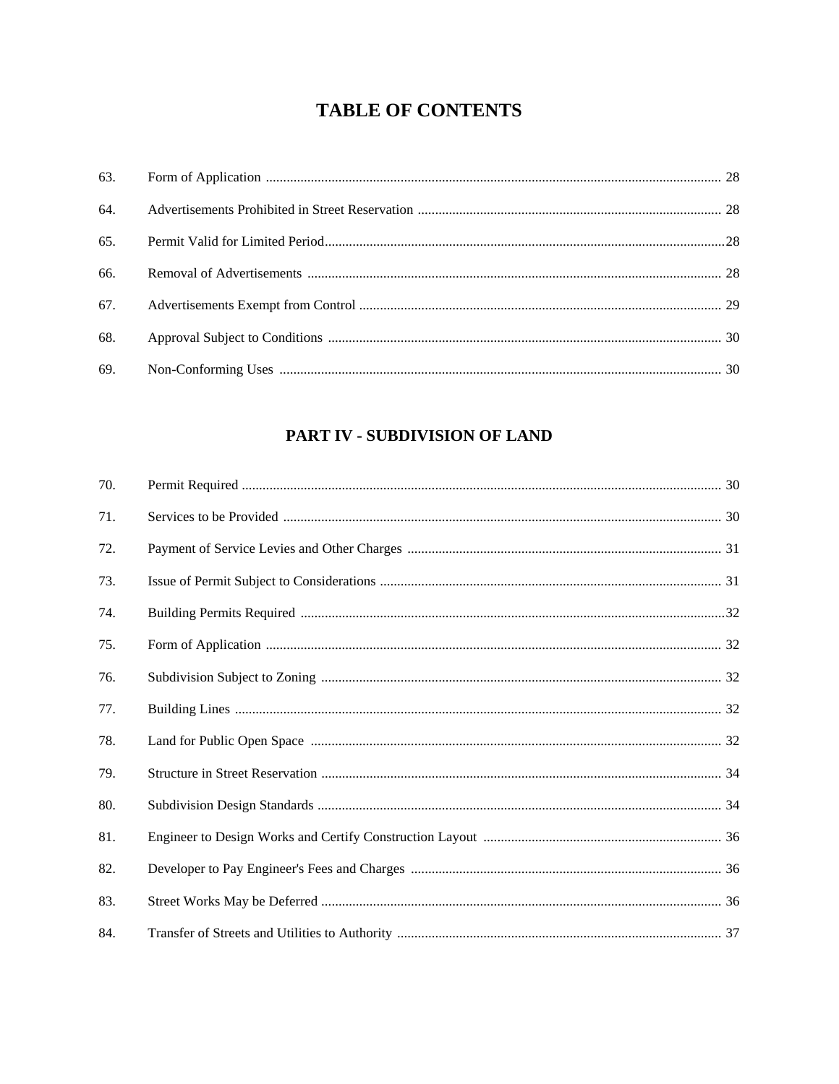| 66. |  |
|-----|--|
|     |  |
| 68. |  |
| 69. |  |

## PART IV - SUBDIVISION OF LAND

| 70. |  |
|-----|--|
| 71. |  |
| 72. |  |
| 73. |  |
| 74. |  |
| 75. |  |
| 76. |  |
| 77. |  |
| 78. |  |
| 79. |  |
| 80. |  |
| 81. |  |
| 82. |  |
| 83. |  |
| 84. |  |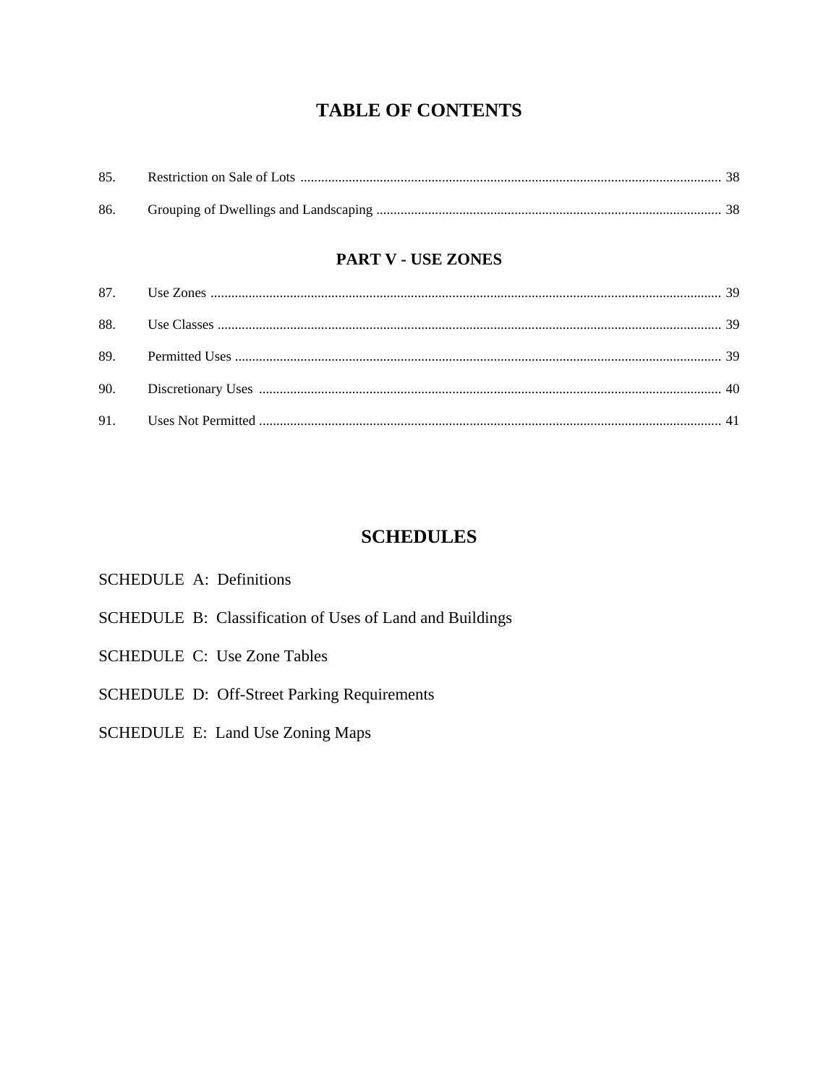| 85. |  |
|-----|--|
|     |  |
|     |  |

## **PART V - USE ZONES**

## **SCHEDULES**

## SCHEDULE A: Definitions

- SCHEDULE B: Classification of Uses of Land and Buildings
- **SCHEDULE C: Use Zone Tables**
- SCHEDULE D: Off-Street Parking Requirements
- SCHEDULE E: Land Use Zoning Maps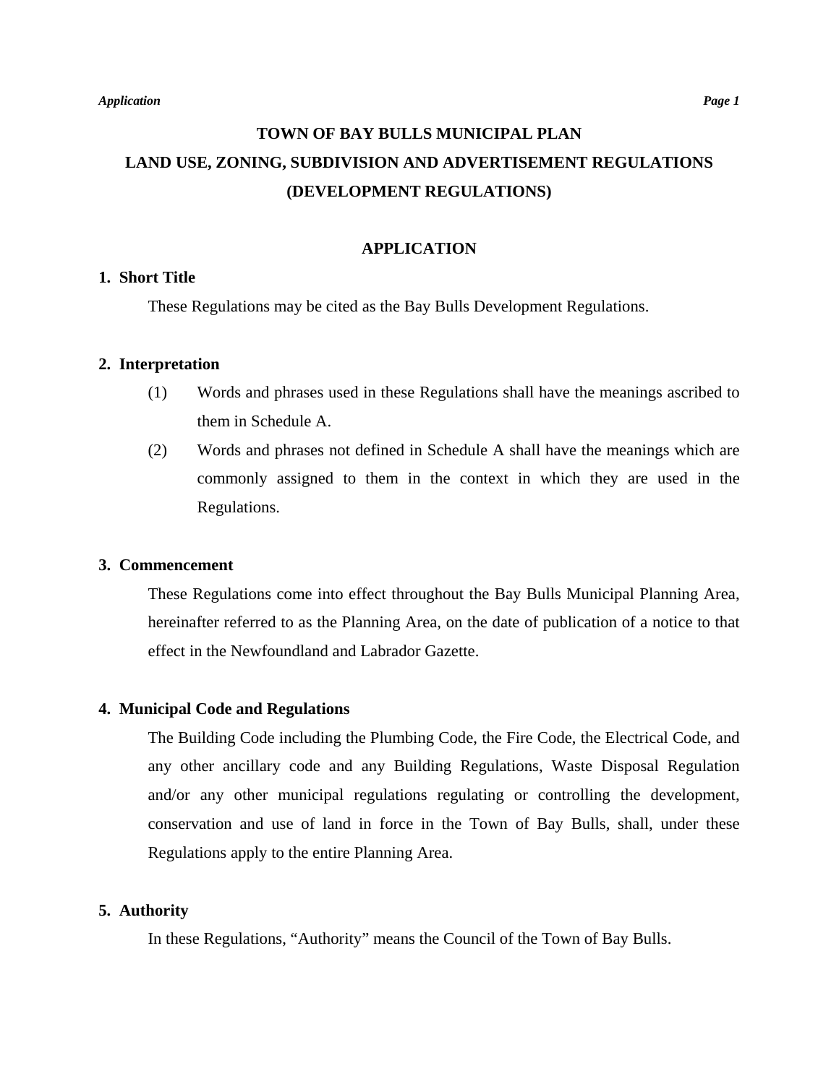# **TOWN OF BAY BULLS MUNICIPAL PLAN LAND USE, ZONING, SUBDIVISION AND ADVERTISEMENT REGULATIONS (DEVELOPMENT REGULATIONS)**

## **APPLICATION**

## **1. Short Title**

These Regulations may be cited as the Bay Bulls Development Regulations.

## **2. Interpretation**

- (1) Words and phrases used in these Regulations shall have the meanings ascribed to them in Schedule A.
- (2) Words and phrases not defined in Schedule A shall have the meanings which are commonly assigned to them in the context in which they are used in the Regulations.

## **3. Commencement**

 These Regulations come into effect throughout the Bay Bulls Municipal Planning Area, hereinafter referred to as the Planning Area, on the date of publication of a notice to that effect in the Newfoundland and Labrador Gazette.

## **4. Municipal Code and Regulations**

 The Building Code including the Plumbing Code, the Fire Code, the Electrical Code, and any other ancillary code and any Building Regulations, Waste Disposal Regulation and/or any other municipal regulations regulating or controlling the development, conservation and use of land in force in the Town of Bay Bulls, shall, under these Regulations apply to the entire Planning Area.

## **5. Authority**

In these Regulations, "Authority" means the Council of the Town of Bay Bulls.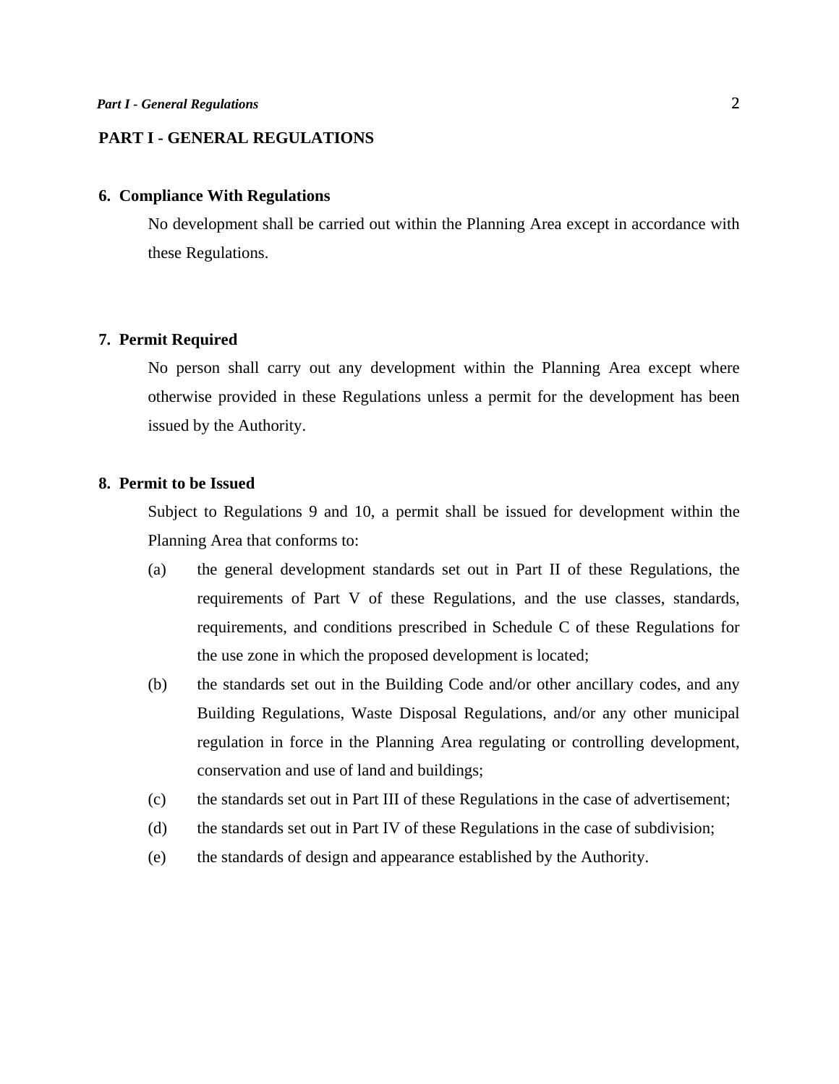## **PART I - GENERAL REGULATIONS**

## **6. Compliance With Regulations**

 No development shall be carried out within the Planning Area except in accordance with these Regulations.

### **7. Permit Required**

 No person shall carry out any development within the Planning Area except where otherwise provided in these Regulations unless a permit for the development has been issued by the Authority.

## **8. Permit to be Issued**

 Subject to Regulations 9 and 10, a permit shall be issued for development within the Planning Area that conforms to:

- (a) the general development standards set out in Part II of these Regulations, the requirements of Part V of these Regulations, and the use classes, standards, requirements, and conditions prescribed in Schedule C of these Regulations for the use zone in which the proposed development is located;
- (b) the standards set out in the Building Code and/or other ancillary codes, and any Building Regulations, Waste Disposal Regulations, and/or any other municipal regulation in force in the Planning Area regulating or controlling development, conservation and use of land and buildings;
- (c) the standards set out in Part III of these Regulations in the case of advertisement;
- (d) the standards set out in Part IV of these Regulations in the case of subdivision;
- (e) the standards of design and appearance established by the Authority.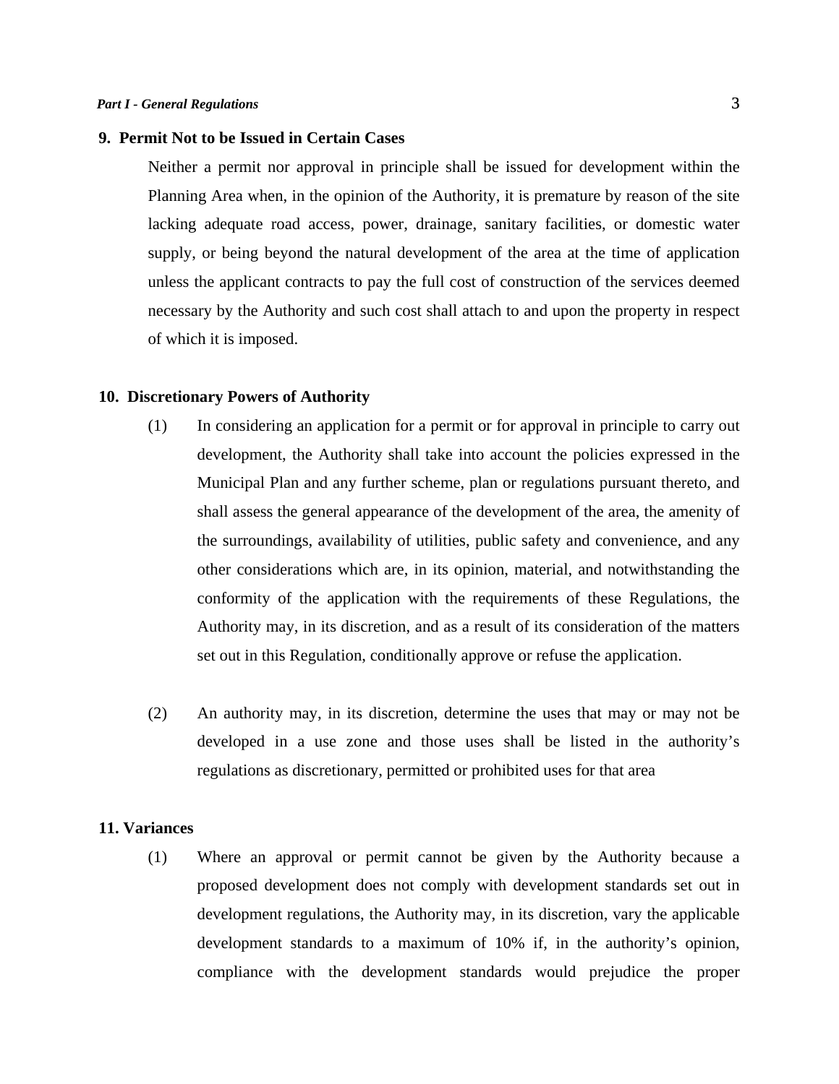#### **9. Permit Not to be Issued in Certain Cases**

 Neither a permit nor approval in principle shall be issued for development within the Planning Area when, in the opinion of the Authority, it is premature by reason of the site lacking adequate road access, power, drainage, sanitary facilities, or domestic water supply, or being beyond the natural development of the area at the time of application unless the applicant contracts to pay the full cost of construction of the services deemed necessary by the Authority and such cost shall attach to and upon the property in respect of which it is imposed.

#### **10. Discretionary Powers of Authority**

- (1) In considering an application for a permit or for approval in principle to carry out development, the Authority shall take into account the policies expressed in the Municipal Plan and any further scheme, plan or regulations pursuant thereto, and shall assess the general appearance of the development of the area, the amenity of the surroundings, availability of utilities, public safety and convenience, and any other considerations which are, in its opinion, material, and notwithstanding the conformity of the application with the requirements of these Regulations, the Authority may, in its discretion, and as a result of its consideration of the matters set out in this Regulation, conditionally approve or refuse the application.
- (2) An authority may, in its discretion, determine the uses that may or may not be developed in a use zone and those uses shall be listed in the authority's regulations as discretionary, permitted or prohibited uses for that area

#### **11. Variances**

 (1) Where an approval or permit cannot be given by the Authority because a proposed development does not comply with development standards set out in development regulations, the Authority may, in its discretion, vary the applicable development standards to a maximum of 10% if, in the authority's opinion, compliance with the development standards would prejudice the proper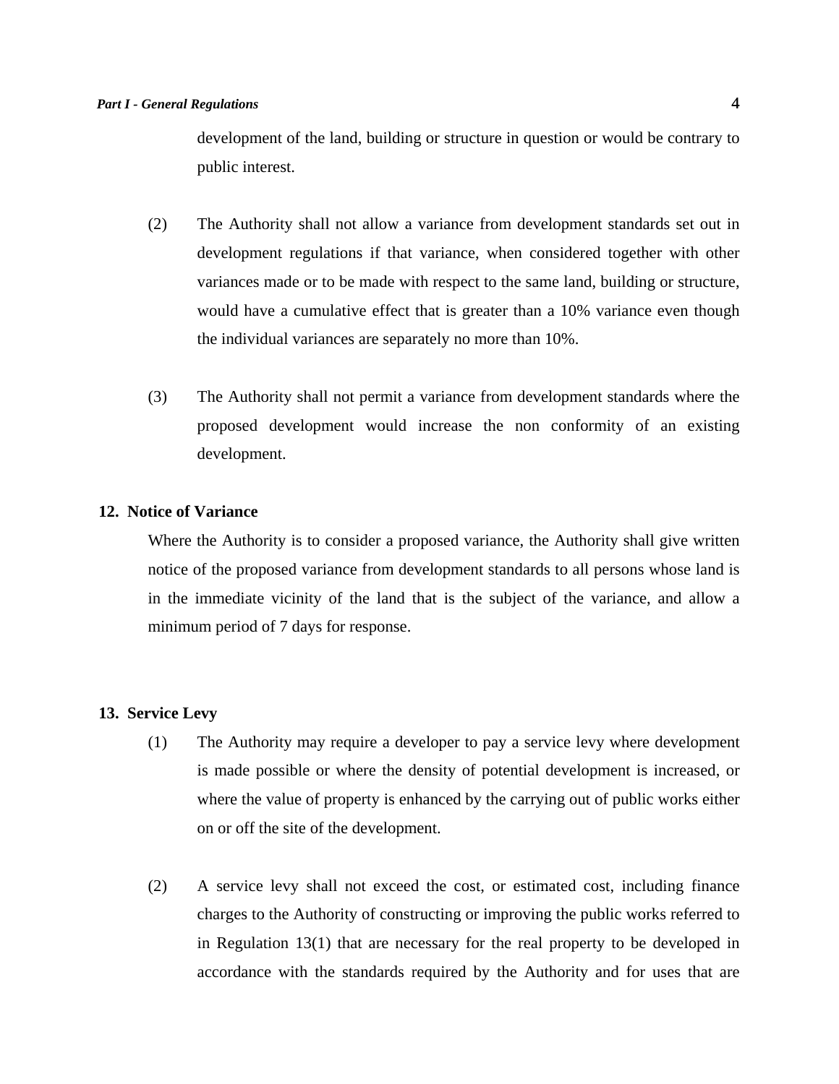development of the land, building or structure in question or would be contrary to public interest.

- (2) The Authority shall not allow a variance from development standards set out in development regulations if that variance, when considered together with other variances made or to be made with respect to the same land, building or structure, would have a cumulative effect that is greater than a 10% variance even though the individual variances are separately no more than 10%.
- (3) The Authority shall not permit a variance from development standards where the proposed development would increase the non conformity of an existing development.

## **12. Notice of Variance**

Where the Authority is to consider a proposed variance, the Authority shall give written notice of the proposed variance from development standards to all persons whose land is in the immediate vicinity of the land that is the subject of the variance, and allow a minimum period of 7 days for response.

#### **13. Service Levy**

- (1) The Authority may require a developer to pay a service levy where development is made possible or where the density of potential development is increased, or where the value of property is enhanced by the carrying out of public works either on or off the site of the development.
- (2) A service levy shall not exceed the cost, or estimated cost, including finance charges to the Authority of constructing or improving the public works referred to in Regulation 13(1) that are necessary for the real property to be developed in accordance with the standards required by the Authority and for uses that are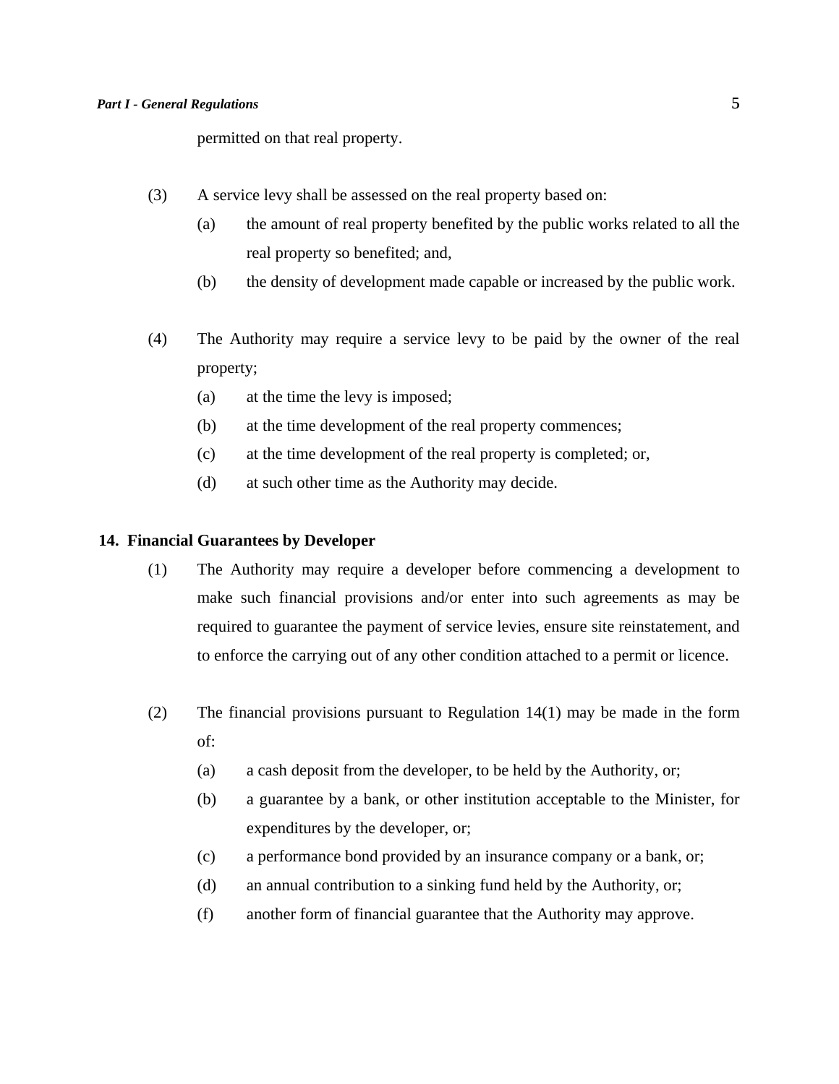permitted on that real property.

- (3) A service levy shall be assessed on the real property based on:
	- (a) the amount of real property benefited by the public works related to all the real property so benefited; and,
	- (b) the density of development made capable or increased by the public work.
- (4) The Authority may require a service levy to be paid by the owner of the real property;
	- (a) at the time the levy is imposed;
	- (b) at the time development of the real property commences;
	- (c) at the time development of the real property is completed; or,
	- (d) at such other time as the Authority may decide.

#### **14. Financial Guarantees by Developer**

- (1) The Authority may require a developer before commencing a development to make such financial provisions and/or enter into such agreements as may be required to guarantee the payment of service levies, ensure site reinstatement, and to enforce the carrying out of any other condition attached to a permit or licence.
- (2) The financial provisions pursuant to Regulation 14(1) may be made in the form of:
	- (a) a cash deposit from the developer, to be held by the Authority, or;
	- (b) a guarantee by a bank, or other institution acceptable to the Minister, for expenditures by the developer, or;
	- (c) a performance bond provided by an insurance company or a bank, or;
	- (d) an annual contribution to a sinking fund held by the Authority, or;
	- (f) another form of financial guarantee that the Authority may approve.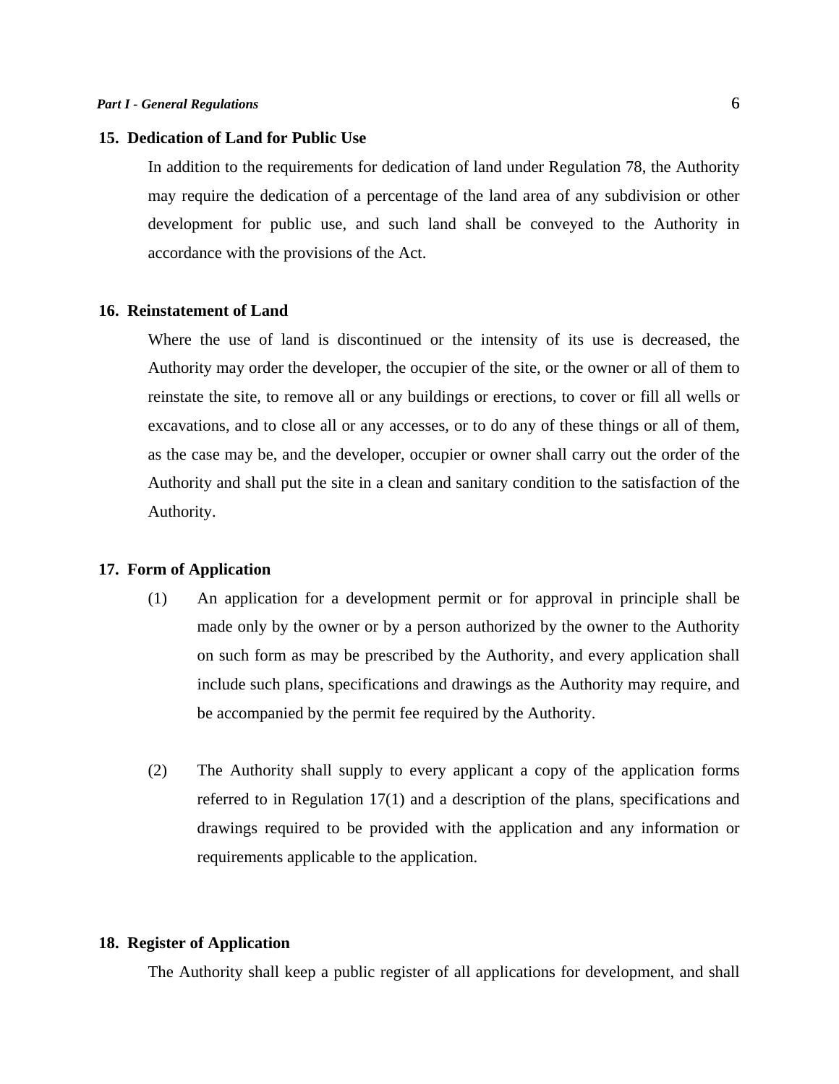#### **15. Dedication of Land for Public Use**

 In addition to the requirements for dedication of land under Regulation 78, the Authority may require the dedication of a percentage of the land area of any subdivision or other development for public use, and such land shall be conveyed to the Authority in accordance with the provisions of the Act.

#### **16. Reinstatement of Land**

 Where the use of land is discontinued or the intensity of its use is decreased, the Authority may order the developer, the occupier of the site, or the owner or all of them to reinstate the site, to remove all or any buildings or erections, to cover or fill all wells or excavations, and to close all or any accesses, or to do any of these things or all of them, as the case may be, and the developer, occupier or owner shall carry out the order of the Authority and shall put the site in a clean and sanitary condition to the satisfaction of the Authority.

#### **17. Form of Application**

- (1) An application for a development permit or for approval in principle shall be made only by the owner or by a person authorized by the owner to the Authority on such form as may be prescribed by the Authority, and every application shall include such plans, specifications and drawings as the Authority may require, and be accompanied by the permit fee required by the Authority.
- (2) The Authority shall supply to every applicant a copy of the application forms referred to in Regulation 17(1) and a description of the plans, specifications and drawings required to be provided with the application and any information or requirements applicable to the application.

## **18. Register of Application**

The Authority shall keep a public register of all applications for development, and shall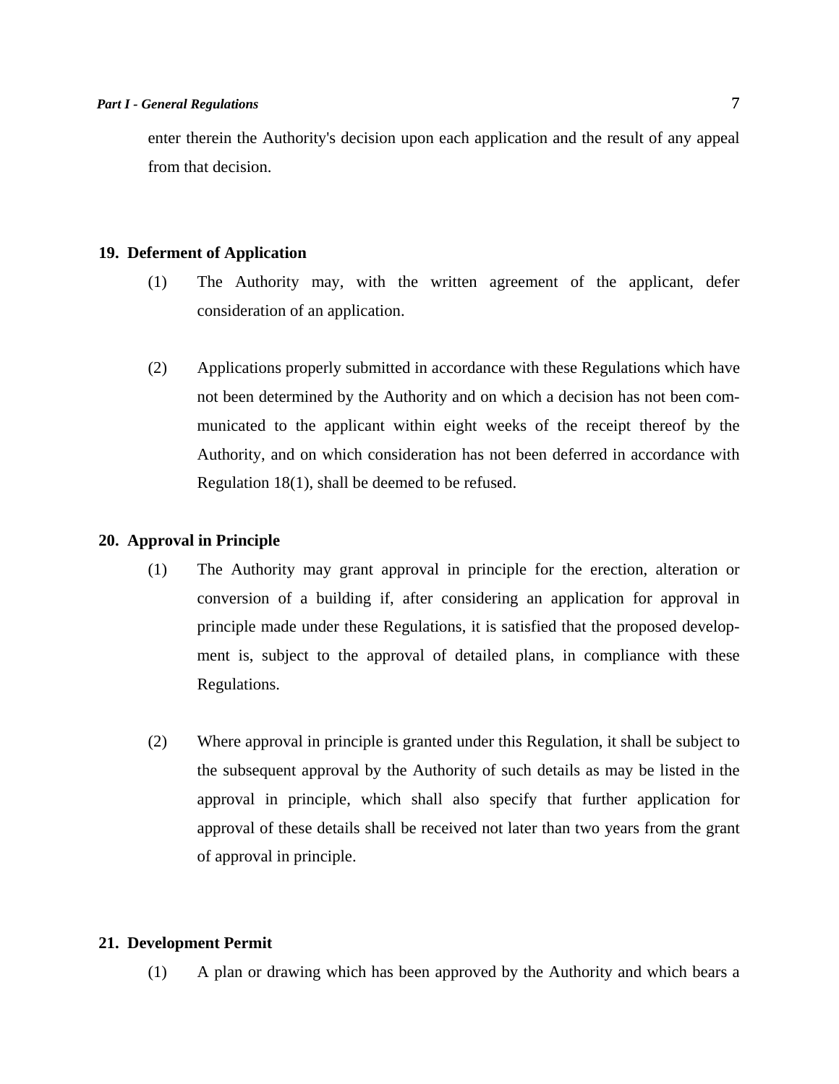enter therein the Authority's decision upon each application and the result of any appeal from that decision.

## **19. Deferment of Application**

- (1) The Authority may, with the written agreement of the applicant, defer consideration of an application.
- (2) Applications properly submitted in accordance with these Regulations which have not been determined by the Authority and on which a decision has not been communicated to the applicant within eight weeks of the receipt thereof by the Authority, and on which consideration has not been deferred in accordance with Regulation 18(1), shall be deemed to be refused.

## **20. Approval in Principle**

- (1) The Authority may grant approval in principle for the erection, alteration or conversion of a building if, after considering an application for approval in principle made under these Regulations, it is satisfied that the proposed development is, subject to the approval of detailed plans, in compliance with these Regulations.
- (2) Where approval in principle is granted under this Regulation, it shall be subject to the subsequent approval by the Authority of such details as may be listed in the approval in principle, which shall also specify that further application for approval of these details shall be received not later than two years from the grant of approval in principle.

## **21. Development Permit**

(1) A plan or drawing which has been approved by the Authority and which bears a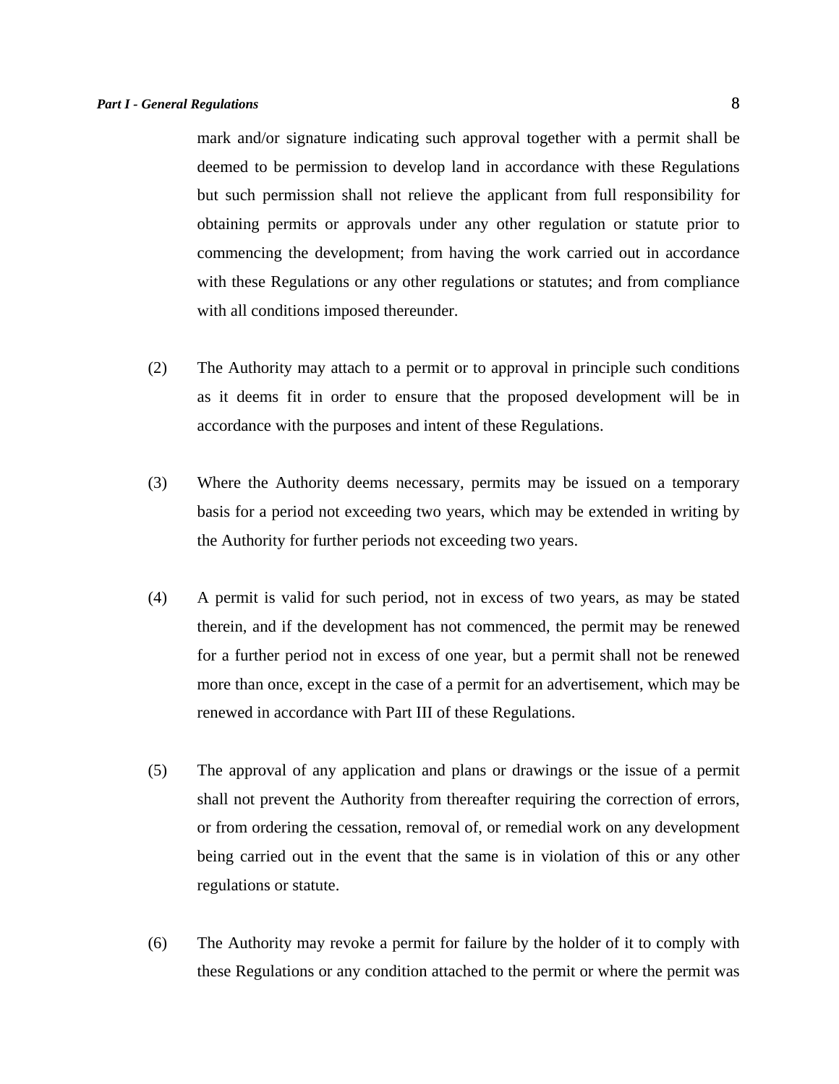mark and/or signature indicating such approval together with a permit shall be deemed to be permission to develop land in accordance with these Regulations but such permission shall not relieve the applicant from full responsibility for obtaining permits or approvals under any other regulation or statute prior to commencing the development; from having the work carried out in accordance with these Regulations or any other regulations or statutes; and from compliance with all conditions imposed thereunder.

- (2) The Authority may attach to a permit or to approval in principle such conditions as it deems fit in order to ensure that the proposed development will be in accordance with the purposes and intent of these Regulations.
- (3) Where the Authority deems necessary, permits may be issued on a temporary basis for a period not exceeding two years, which may be extended in writing by the Authority for further periods not exceeding two years.
- (4) A permit is valid for such period, not in excess of two years, as may be stated therein, and if the development has not commenced, the permit may be renewed for a further period not in excess of one year, but a permit shall not be renewed more than once, except in the case of a permit for an advertisement, which may be renewed in accordance with Part III of these Regulations.
- (5) The approval of any application and plans or drawings or the issue of a permit shall not prevent the Authority from thereafter requiring the correction of errors, or from ordering the cessation, removal of, or remedial work on any development being carried out in the event that the same is in violation of this or any other regulations or statute.
- (6) The Authority may revoke a permit for failure by the holder of it to comply with these Regulations or any condition attached to the permit or where the permit was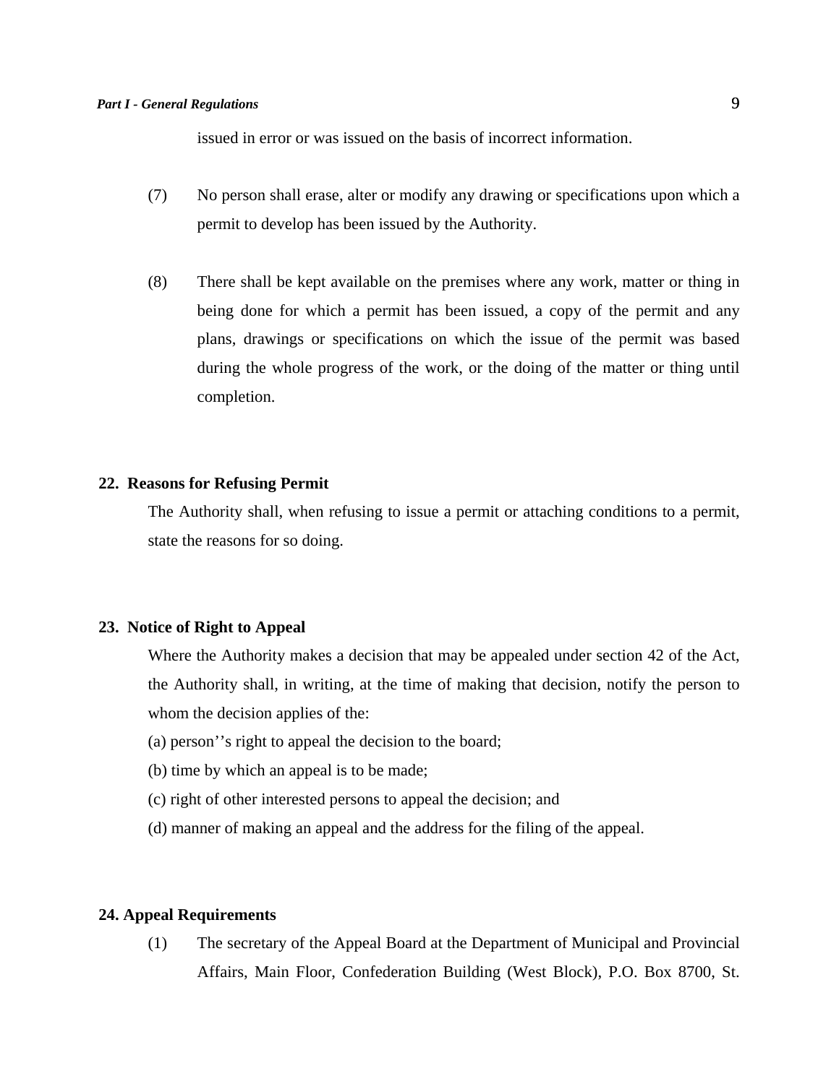issued in error or was issued on the basis of incorrect information.

- (7) No person shall erase, alter or modify any drawing or specifications upon which a permit to develop has been issued by the Authority.
- (8) There shall be kept available on the premises where any work, matter or thing in being done for which a permit has been issued, a copy of the permit and any plans, drawings or specifications on which the issue of the permit was based during the whole progress of the work, or the doing of the matter or thing until completion.

## **22. Reasons for Refusing Permit**

 The Authority shall, when refusing to issue a permit or attaching conditions to a permit, state the reasons for so doing.

## **23. Notice of Right to Appeal**

Where the Authority makes a decision that may be appealed under section 42 of the Act, the Authority shall, in writing, at the time of making that decision, notify the person to whom the decision applies of the:

- (a) person''s right to appeal the decision to the board;
- (b) time by which an appeal is to be made;
- (c) right of other interested persons to appeal the decision; and
- (d) manner of making an appeal and the address for the filing of the appeal.

## **24. Appeal Requirements**

 (1) The secretary of the Appeal Board at the Department of Municipal and Provincial Affairs, Main Floor, Confederation Building (West Block), P.O. Box 8700, St.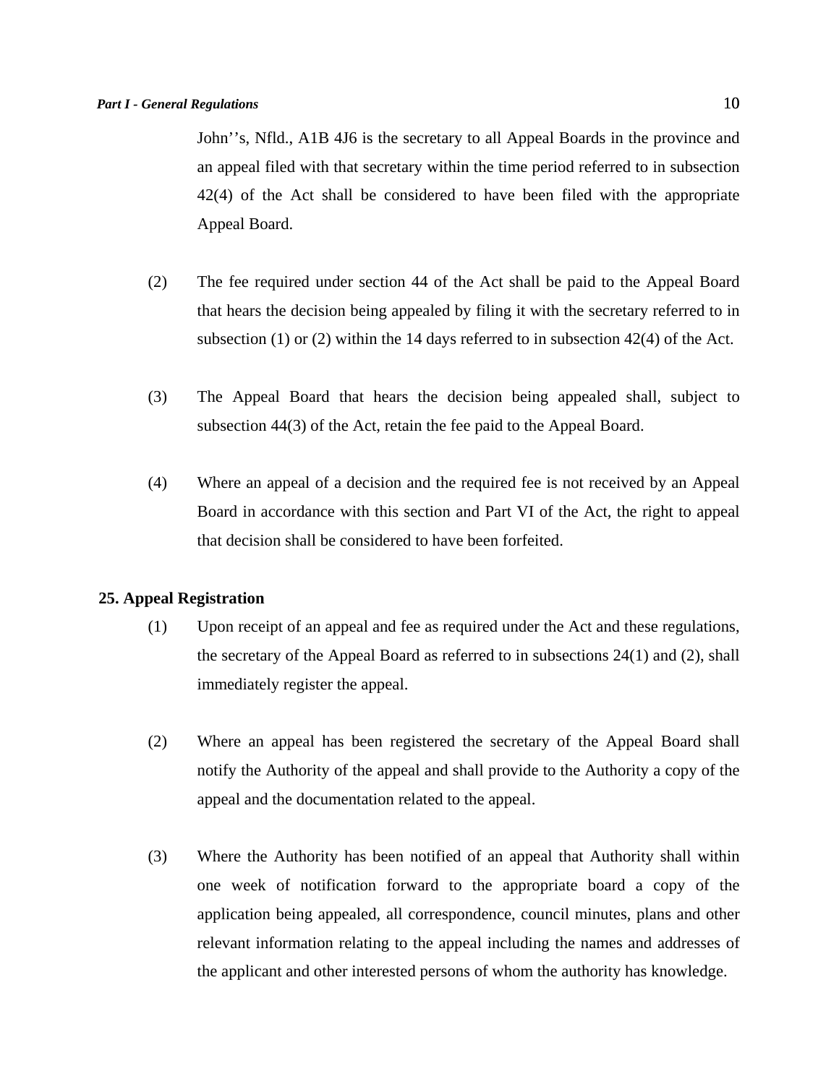John''s, Nfld., A1B 4J6 is the secretary to all Appeal Boards in the province and an appeal filed with that secretary within the time period referred to in subsection 42(4) of the Act shall be considered to have been filed with the appropriate Appeal Board.

- (2) The fee required under section 44 of the Act shall be paid to the Appeal Board that hears the decision being appealed by filing it with the secretary referred to in subsection (1) or (2) within the 14 days referred to in subsection  $42(4)$  of the Act.
- (3) The Appeal Board that hears the decision being appealed shall, subject to subsection 44(3) of the Act, retain the fee paid to the Appeal Board.
- (4) Where an appeal of a decision and the required fee is not received by an Appeal Board in accordance with this section and Part VI of the Act, the right to appeal that decision shall be considered to have been forfeited.

## **25. Appeal Registration**

- (1) Upon receipt of an appeal and fee as required under the Act and these regulations, the secretary of the Appeal Board as referred to in subsections 24(1) and (2), shall immediately register the appeal.
- (2) Where an appeal has been registered the secretary of the Appeal Board shall notify the Authority of the appeal and shall provide to the Authority a copy of the appeal and the documentation related to the appeal.
- (3) Where the Authority has been notified of an appeal that Authority shall within one week of notification forward to the appropriate board a copy of the application being appealed, all correspondence, council minutes, plans and other relevant information relating to the appeal including the names and addresses of the applicant and other interested persons of whom the authority has knowledge.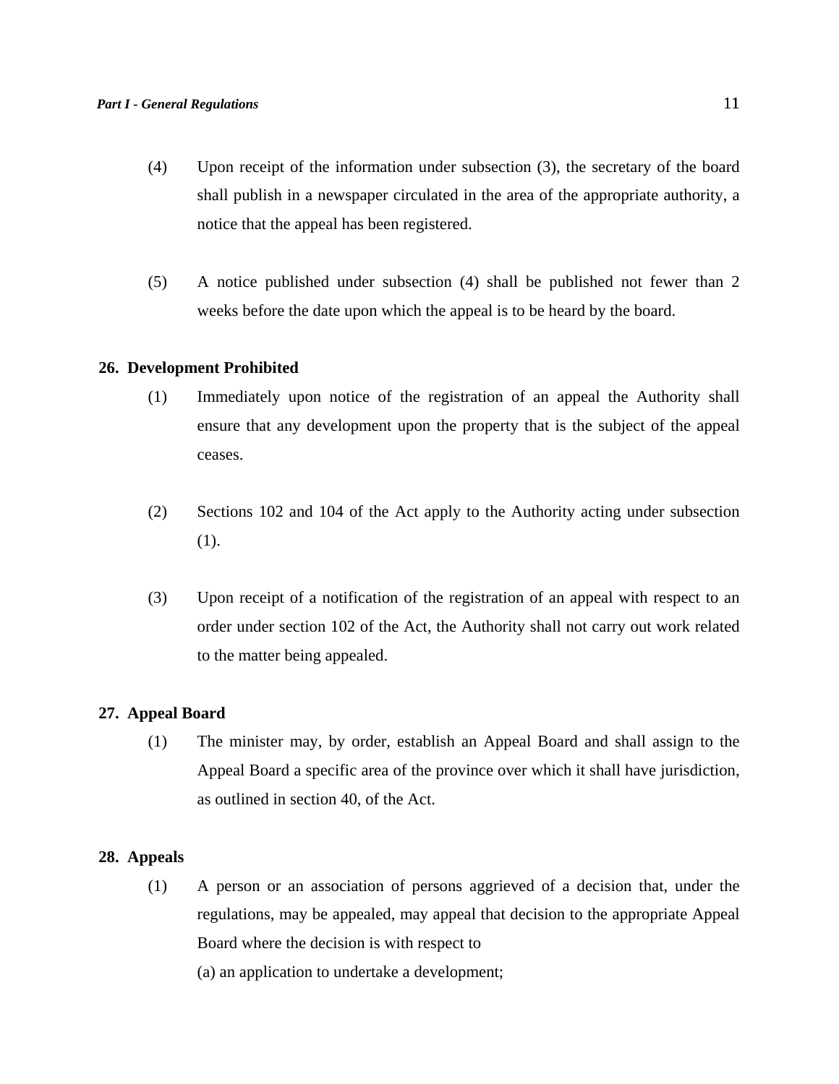- (4) Upon receipt of the information under subsection (3), the secretary of the board shall publish in a newspaper circulated in the area of the appropriate authority, a notice that the appeal has been registered.
- (5) A notice published under subsection (4) shall be published not fewer than 2 weeks before the date upon which the appeal is to be heard by the board.

## **26. Development Prohibited**

- (1) Immediately upon notice of the registration of an appeal the Authority shall ensure that any development upon the property that is the subject of the appeal ceases.
- (2) Sections 102 and 104 of the Act apply to the Authority acting under subsection (1).
- (3) Upon receipt of a notification of the registration of an appeal with respect to an order under section 102 of the Act, the Authority shall not carry out work related to the matter being appealed.

## **27. Appeal Board**

(1) The minister may, by order, establish an Appeal Board and shall assign to the Appeal Board a specific area of the province over which it shall have jurisdiction, as outlined in section 40, of the Act.

### **28. Appeals**

(1) A person or an association of persons aggrieved of a decision that, under the regulations, may be appealed, may appeal that decision to the appropriate Appeal Board where the decision is with respect to

(a) an application to undertake a development;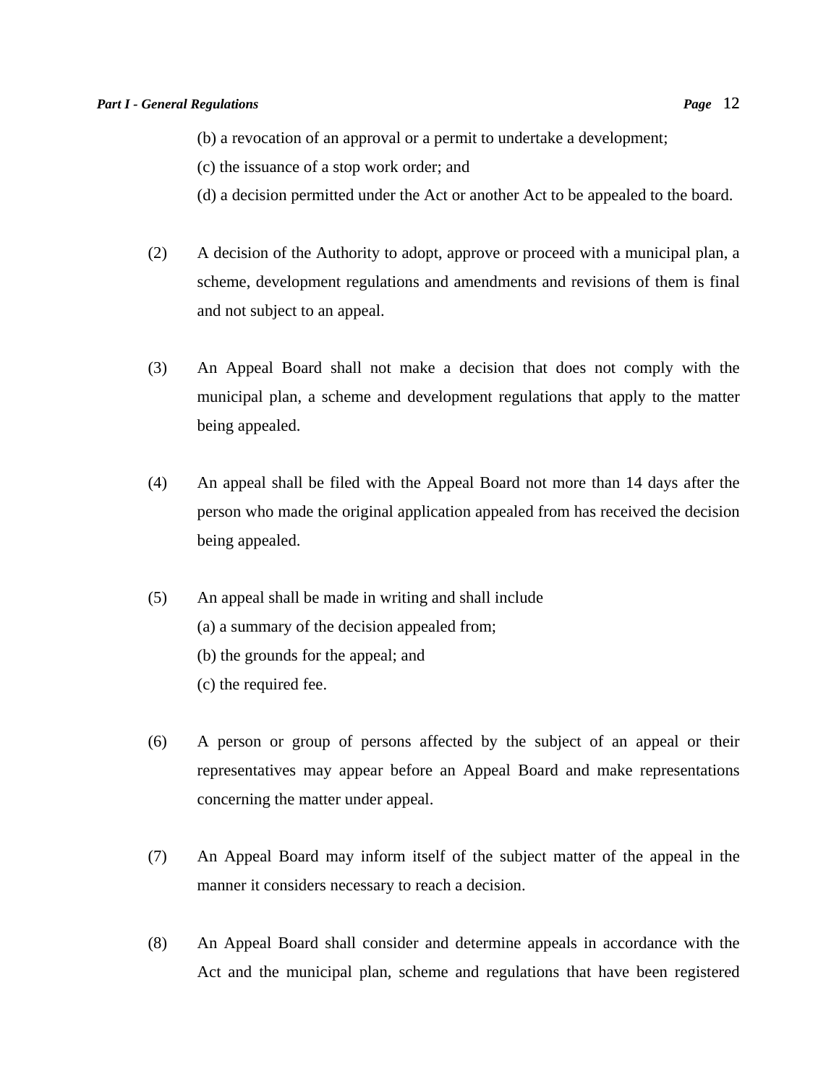- (c) the issuance of a stop work order; and
- (d) a decision permitted under the Act or another Act to be appealed to the board.
- (2) A decision of the Authority to adopt, approve or proceed with a municipal plan, a scheme, development regulations and amendments and revisions of them is final and not subject to an appeal.
- (3) An Appeal Board shall not make a decision that does not comply with the municipal plan, a scheme and development regulations that apply to the matter being appealed.
- (4) An appeal shall be filed with the Appeal Board not more than 14 days after the person who made the original application appealed from has received the decision being appealed.
- (5) An appeal shall be made in writing and shall include (a) a summary of the decision appealed from; (b) the grounds for the appeal; and (c) the required fee.
- (6) A person or group of persons affected by the subject of an appeal or their representatives may appear before an Appeal Board and make representations concerning the matter under appeal.
- (7) An Appeal Board may inform itself of the subject matter of the appeal in the manner it considers necessary to reach a decision.
- (8) An Appeal Board shall consider and determine appeals in accordance with the Act and the municipal plan, scheme and regulations that have been registered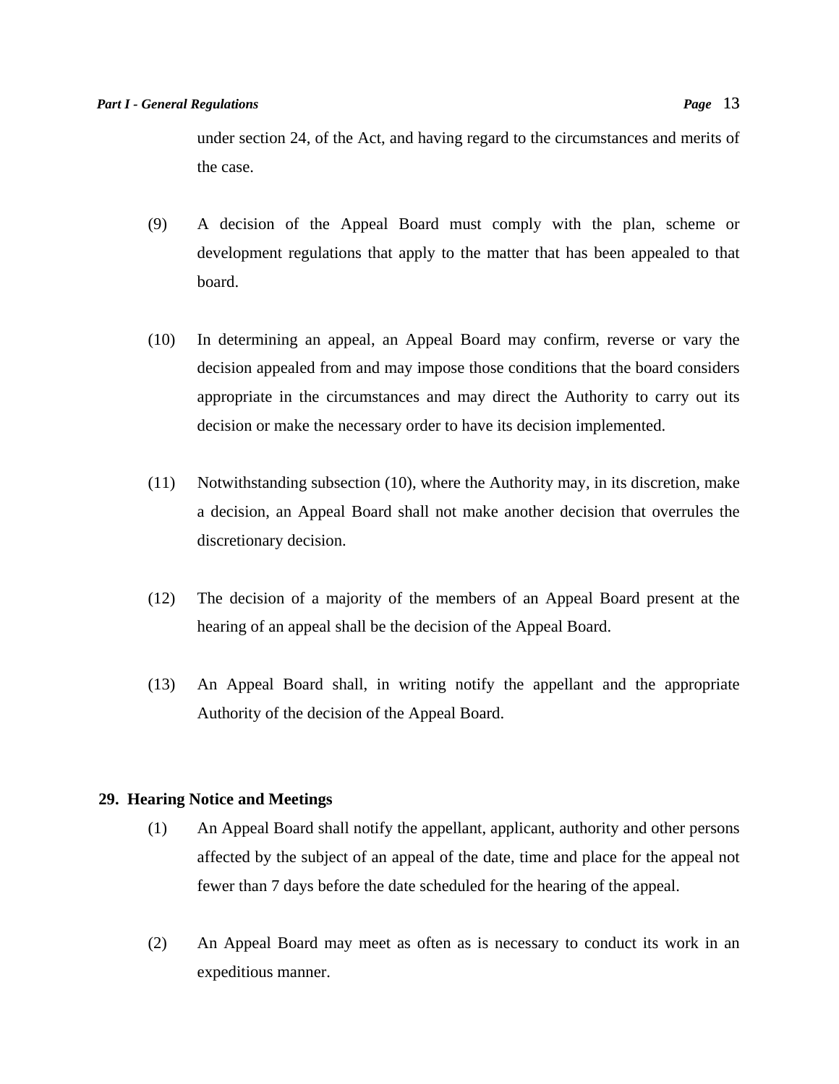under section 24, of the Act, and having regard to the circumstances and merits of the case.

- (9) A decision of the Appeal Board must comply with the plan, scheme or development regulations that apply to the matter that has been appealed to that board.
- (10) In determining an appeal, an Appeal Board may confirm, reverse or vary the decision appealed from and may impose those conditions that the board considers appropriate in the circumstances and may direct the Authority to carry out its decision or make the necessary order to have its decision implemented.
- (11) Notwithstanding subsection (10), where the Authority may, in its discretion, make a decision, an Appeal Board shall not make another decision that overrules the discretionary decision.
- (12) The decision of a majority of the members of an Appeal Board present at the hearing of an appeal shall be the decision of the Appeal Board.
- (13) An Appeal Board shall, in writing notify the appellant and the appropriate Authority of the decision of the Appeal Board.

## **29. Hearing Notice and Meetings**

- (1) An Appeal Board shall notify the appellant, applicant, authority and other persons affected by the subject of an appeal of the date, time and place for the appeal not fewer than 7 days before the date scheduled for the hearing of the appeal.
- (2) An Appeal Board may meet as often as is necessary to conduct its work in an expeditious manner.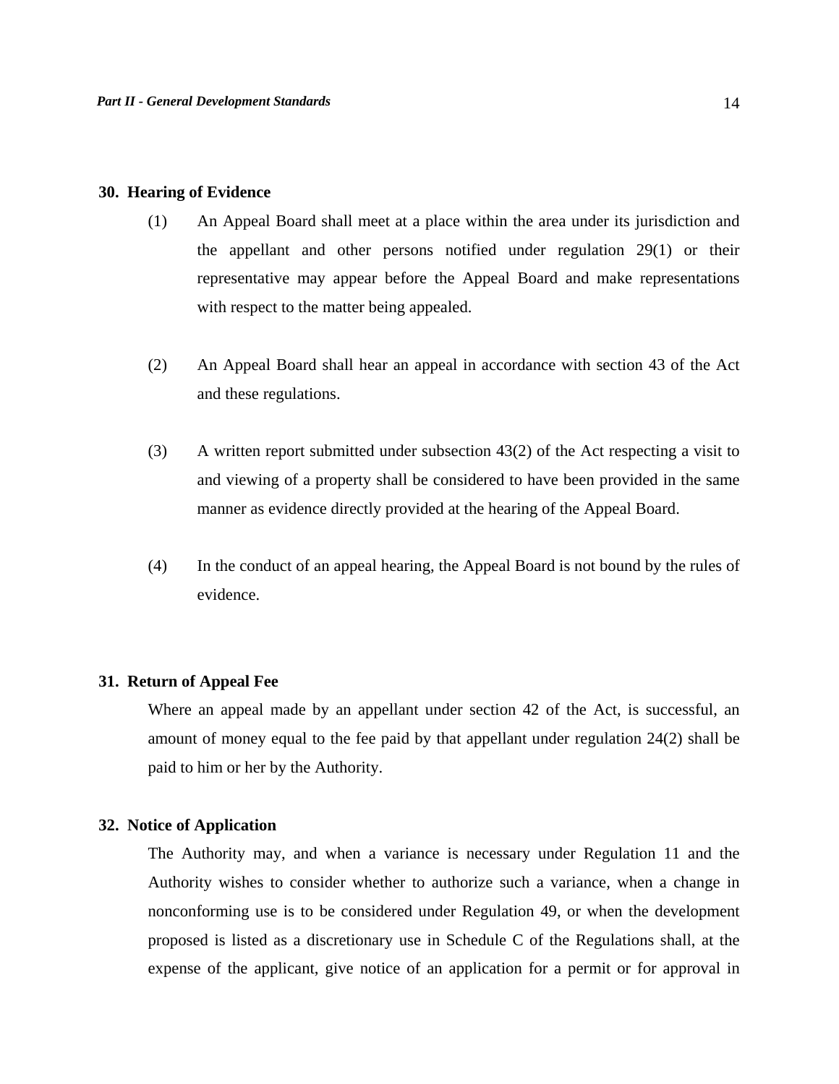#### **30. Hearing of Evidence**

- (1) An Appeal Board shall meet at a place within the area under its jurisdiction and the appellant and other persons notified under regulation 29(1) or their representative may appear before the Appeal Board and make representations with respect to the matter being appealed.
- (2) An Appeal Board shall hear an appeal in accordance with section 43 of the Act and these regulations.
- (3) A written report submitted under subsection 43(2) of the Act respecting a visit to and viewing of a property shall be considered to have been provided in the same manner as evidence directly provided at the hearing of the Appeal Board.
- (4) In the conduct of an appeal hearing, the Appeal Board is not bound by the rules of evidence.

## **31. Return of Appeal Fee**

Where an appeal made by an appellant under section 42 of the Act, is successful, an amount of money equal to the fee paid by that appellant under regulation 24(2) shall be paid to him or her by the Authority.

## **32. Notice of Application**

 The Authority may, and when a variance is necessary under Regulation 11 and the Authority wishes to consider whether to authorize such a variance, when a change in nonconforming use is to be considered under Regulation 49, or when the development proposed is listed as a discretionary use in Schedule C of the Regulations shall, at the expense of the applicant, give notice of an application for a permit or for approval in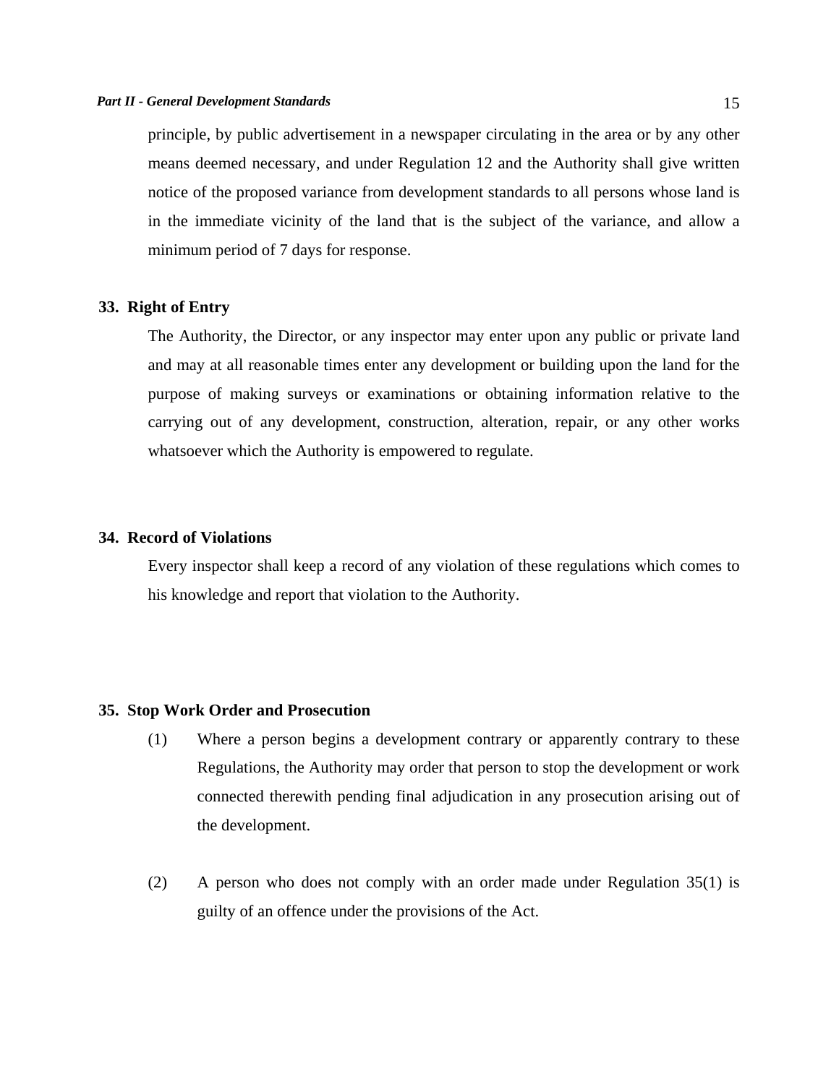principle, by public advertisement in a newspaper circulating in the area or by any other means deemed necessary, and under Regulation 12 and the Authority shall give written notice of the proposed variance from development standards to all persons whose land is in the immediate vicinity of the land that is the subject of the variance, and allow a minimum period of 7 days for response.

## **33. Right of Entry**

 The Authority, the Director, or any inspector may enter upon any public or private land and may at all reasonable times enter any development or building upon the land for the purpose of making surveys or examinations or obtaining information relative to the carrying out of any development, construction, alteration, repair, or any other works whatsoever which the Authority is empowered to regulate.

## **34. Record of Violations**

 Every inspector shall keep a record of any violation of these regulations which comes to his knowledge and report that violation to the Authority.

## **35. Stop Work Order and Prosecution**

- (1) Where a person begins a development contrary or apparently contrary to these Regulations, the Authority may order that person to stop the development or work connected therewith pending final adjudication in any prosecution arising out of the development.
- (2) A person who does not comply with an order made under Regulation 35(1) is guilty of an offence under the provisions of the Act.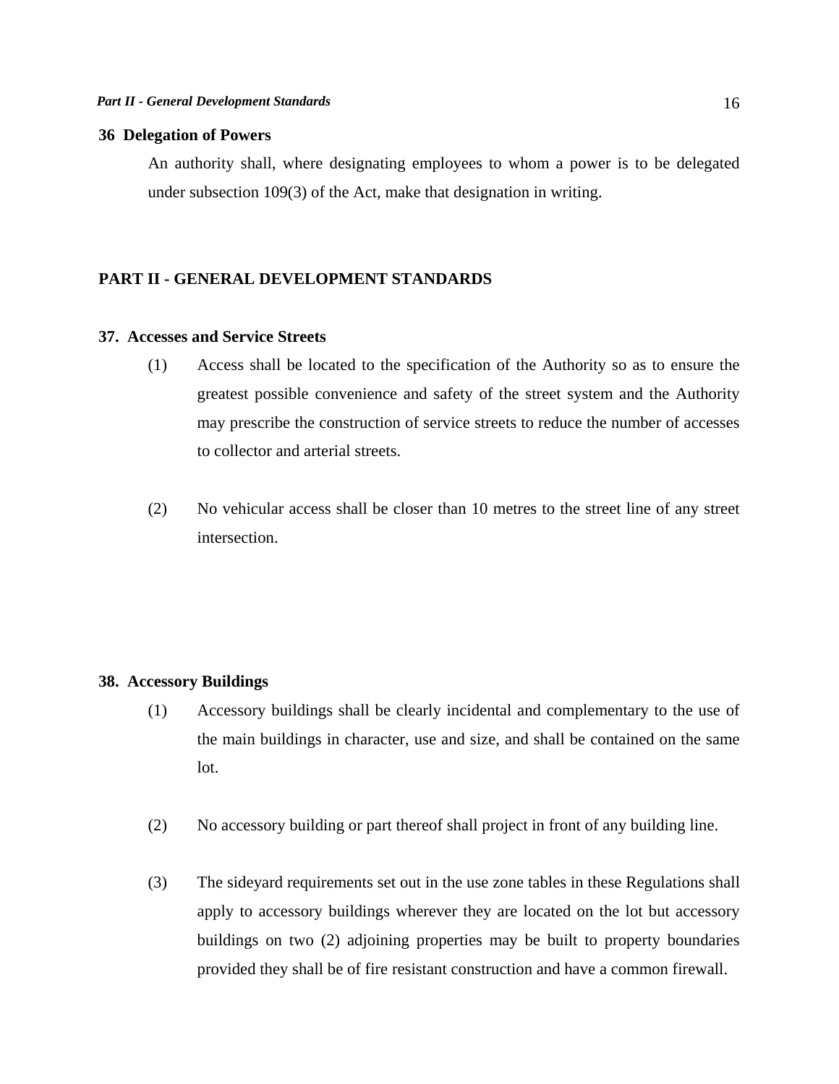## **36 Delegation of Powers**

An authority shall, where designating employees to whom a power is to be delegated under subsection 109(3) of the Act, make that designation in writing.

#### **PART II - GENERAL DEVELOPMENT STANDARDS**

#### **37. Accesses and Service Streets**

- (1) Access shall be located to the specification of the Authority so as to ensure the greatest possible convenience and safety of the street system and the Authority may prescribe the construction of service streets to reduce the number of accesses to collector and arterial streets.
- (2) No vehicular access shall be closer than 10 metres to the street line of any street intersection.

## **38. Accessory Buildings**

- (1) Accessory buildings shall be clearly incidental and complementary to the use of the main buildings in character, use and size, and shall be contained on the same lot.
- (2) No accessory building or part thereof shall project in front of any building line.
- (3) The sideyard requirements set out in the use zone tables in these Regulations shall apply to accessory buildings wherever they are located on the lot but accessory buildings on two (2) adjoining properties may be built to property boundaries provided they shall be of fire resistant construction and have a common firewall.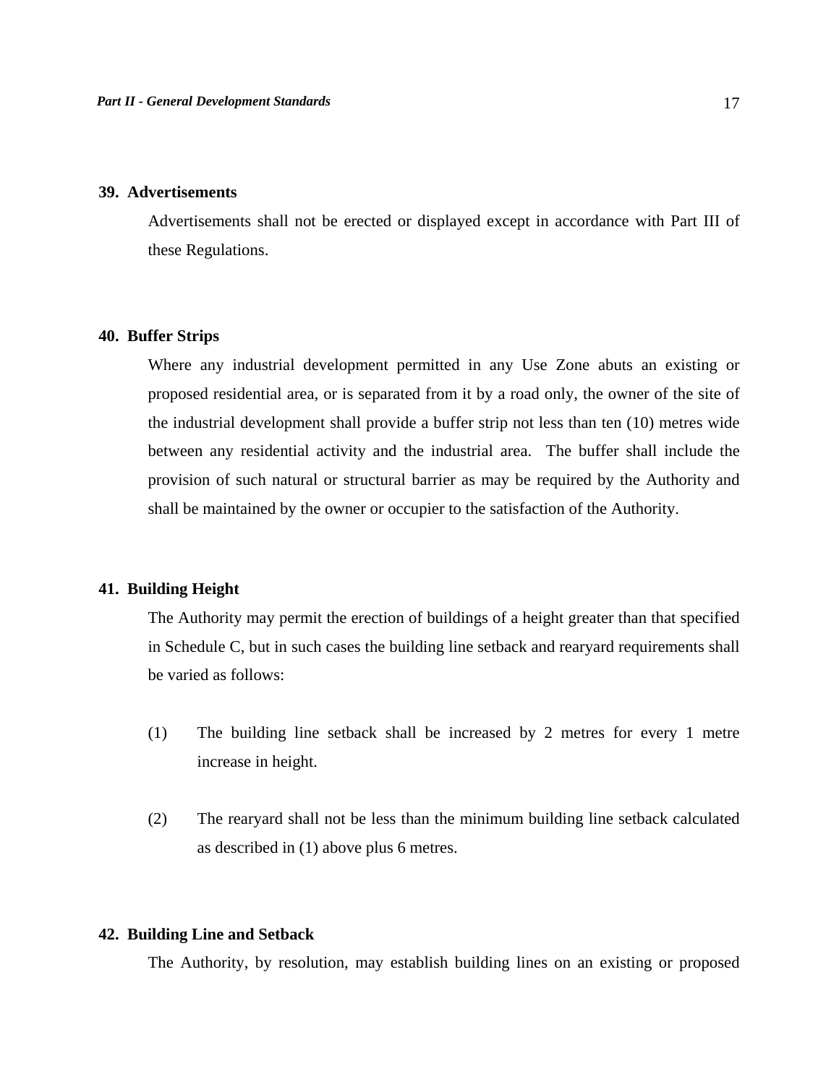### **39. Advertisements**

 Advertisements shall not be erected or displayed except in accordance with Part III of these Regulations.

### **40. Buffer Strips**

 Where any industrial development permitted in any Use Zone abuts an existing or proposed residential area, or is separated from it by a road only, the owner of the site of the industrial development shall provide a buffer strip not less than ten (10) metres wide between any residential activity and the industrial area. The buffer shall include the provision of such natural or structural barrier as may be required by the Authority and shall be maintained by the owner or occupier to the satisfaction of the Authority.

## **41. Building Height**

 The Authority may permit the erection of buildings of a height greater than that specified in Schedule C, but in such cases the building line setback and rearyard requirements shall be varied as follows:

- (1) The building line setback shall be increased by 2 metres for every 1 metre increase in height.
- (2) The rearyard shall not be less than the minimum building line setback calculated as described in (1) above plus 6 metres.

## **42. Building Line and Setback**

The Authority, by resolution, may establish building lines on an existing or proposed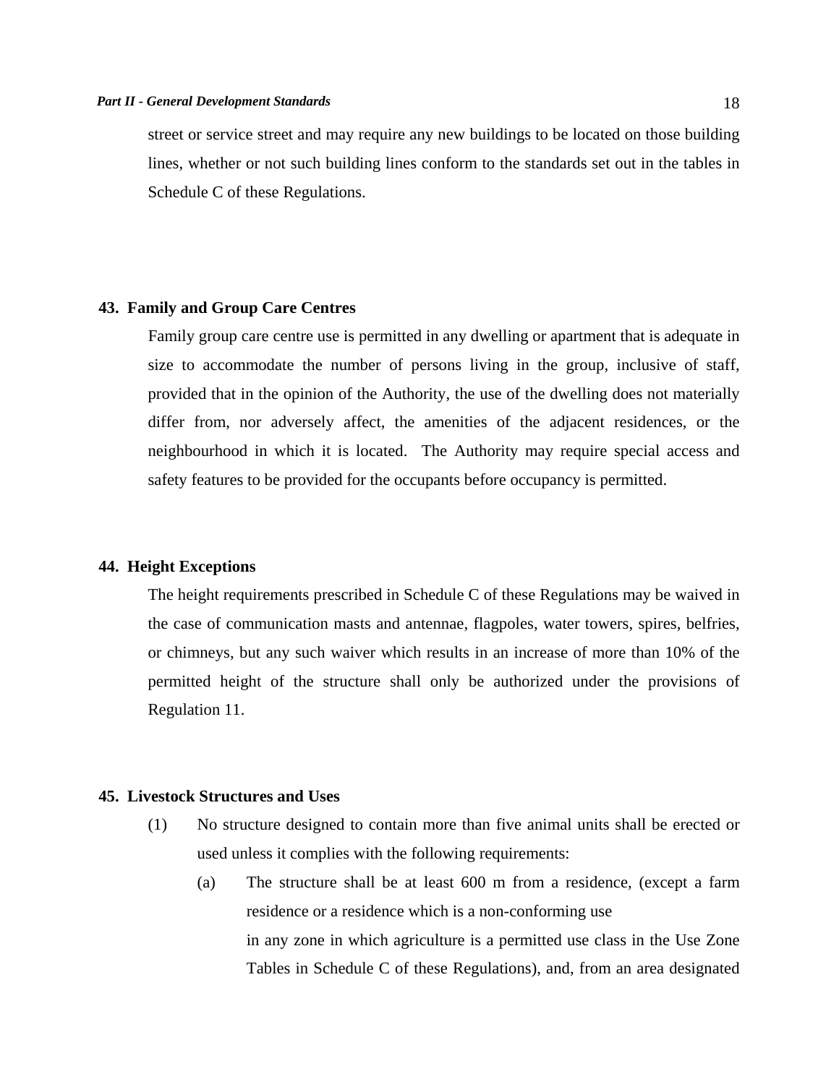street or service street and may require any new buildings to be located on those building lines, whether or not such building lines conform to the standards set out in the tables in Schedule C of these Regulations.

#### **43. Family and Group Care Centres**

 Family group care centre use is permitted in any dwelling or apartment that is adequate in size to accommodate the number of persons living in the group, inclusive of staff, provided that in the opinion of the Authority, the use of the dwelling does not materially differ from, nor adversely affect, the amenities of the adjacent residences, or the neighbourhood in which it is located. The Authority may require special access and safety features to be provided for the occupants before occupancy is permitted.

### **44. Height Exceptions**

 The height requirements prescribed in Schedule C of these Regulations may be waived in the case of communication masts and antennae, flagpoles, water towers, spires, belfries, or chimneys, but any such waiver which results in an increase of more than 10% of the permitted height of the structure shall only be authorized under the provisions of Regulation 11.

#### **45. Livestock Structures and Uses**

- (1) No structure designed to contain more than five animal units shall be erected or used unless it complies with the following requirements:
	- (a) The structure shall be at least 600 m from a residence, (except a farm residence or a residence which is a non-conforming use in any zone in which agriculture is a permitted use class in the Use Zone Tables in Schedule C of these Regulations), and, from an area designated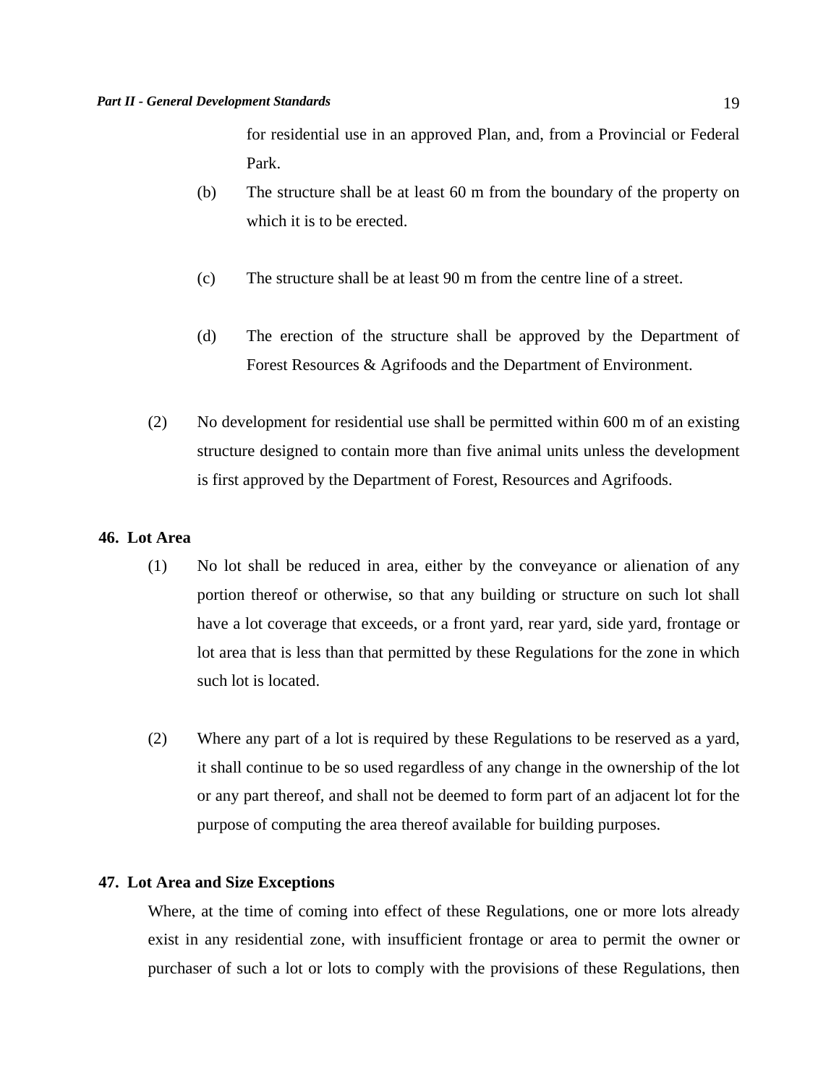for residential use in an approved Plan, and, from a Provincial or Federal Park.

- (b) The structure shall be at least 60 m from the boundary of the property on which it is to be erected.
- (c) The structure shall be at least 90 m from the centre line of a street.
- (d) The erection of the structure shall be approved by the Department of Forest Resources & Agrifoods and the Department of Environment.
- (2) No development for residential use shall be permitted within 600 m of an existing structure designed to contain more than five animal units unless the development is first approved by the Department of Forest, Resources and Agrifoods.

## **46. Lot Area**

- (1) No lot shall be reduced in area, either by the conveyance or alienation of any portion thereof or otherwise, so that any building or structure on such lot shall have a lot coverage that exceeds, or a front yard, rear yard, side yard, frontage or lot area that is less than that permitted by these Regulations for the zone in which such lot is located.
- (2) Where any part of a lot is required by these Regulations to be reserved as a yard, it shall continue to be so used regardless of any change in the ownership of the lot or any part thereof, and shall not be deemed to form part of an adjacent lot for the purpose of computing the area thereof available for building purposes.

## **47. Lot Area and Size Exceptions**

 Where, at the time of coming into effect of these Regulations, one or more lots already exist in any residential zone, with insufficient frontage or area to permit the owner or purchaser of such a lot or lots to comply with the provisions of these Regulations, then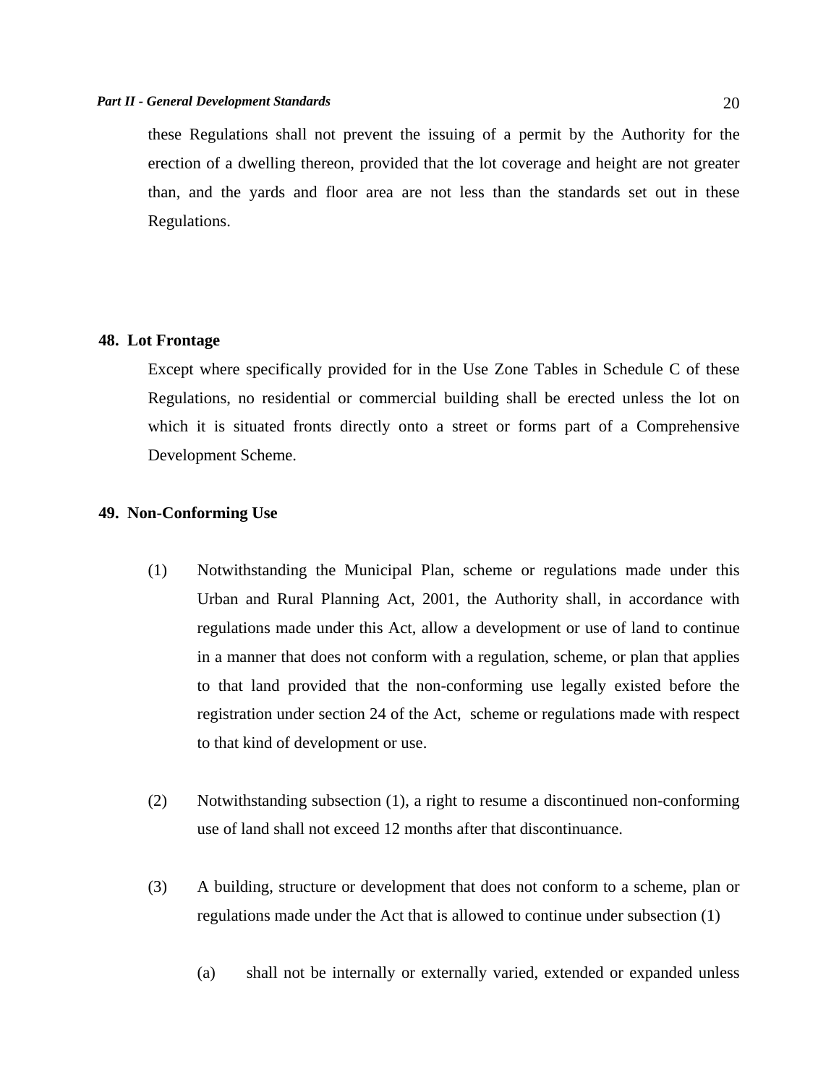these Regulations shall not prevent the issuing of a permit by the Authority for the erection of a dwelling thereon, provided that the lot coverage and height are not greater than, and the yards and floor area are not less than the standards set out in these Regulations.

#### **48. Lot Frontage**

 Except where specifically provided for in the Use Zone Tables in Schedule C of these Regulations, no residential or commercial building shall be erected unless the lot on which it is situated fronts directly onto a street or forms part of a Comprehensive Development Scheme.

## **49. Non-Conforming Use**

- (1) Notwithstanding the Municipal Plan, scheme or regulations made under this Urban and Rural Planning Act, 2001, the Authority shall, in accordance with regulations made under this Act, allow a development or use of land to continue in a manner that does not conform with a regulation, scheme, or plan that applies to that land provided that the non-conforming use legally existed before the registration under section 24 of the Act, scheme or regulations made with respect to that kind of development or use.
- (2) Notwithstanding subsection (1), a right to resume a discontinued non-conforming use of land shall not exceed 12 months after that discontinuance.
- (3) A building, structure or development that does not conform to a scheme, plan or regulations made under the Act that is allowed to continue under subsection (1)
	- (a) shall not be internally or externally varied, extended or expanded unless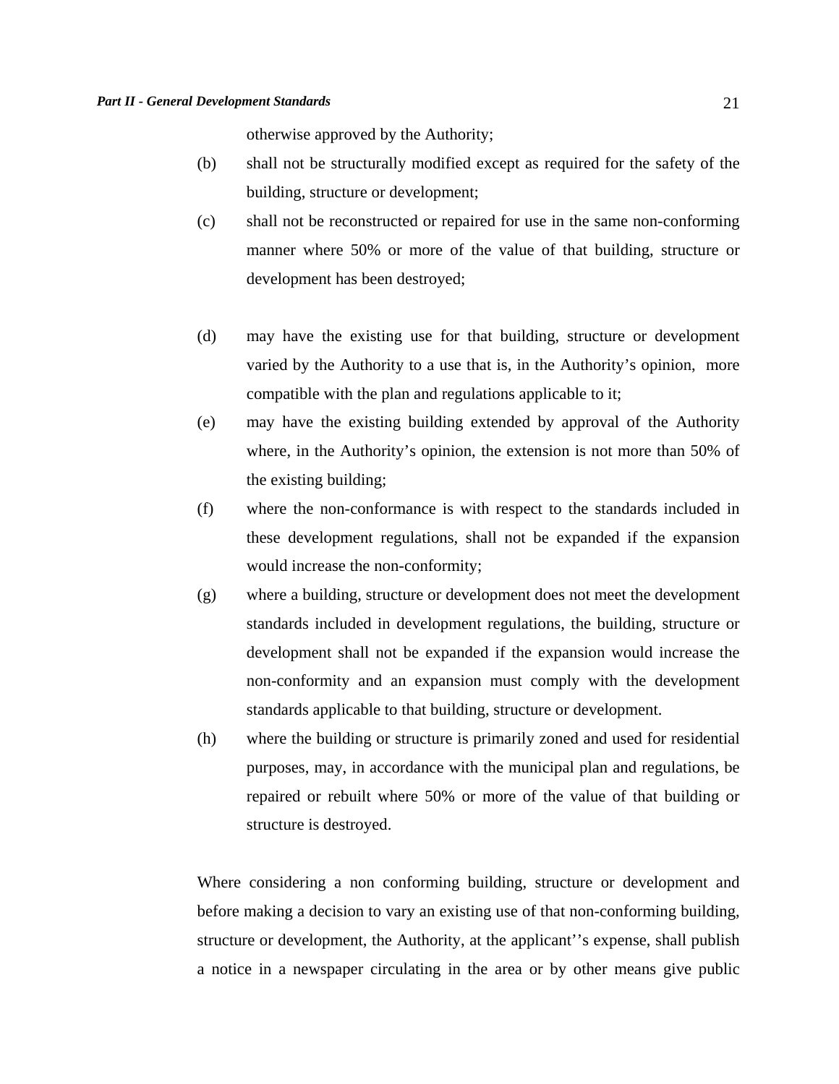otherwise approved by the Authority;

- (b) shall not be structurally modified except as required for the safety of the building, structure or development;
- (c) shall not be reconstructed or repaired for use in the same non-conforming manner where 50% or more of the value of that building, structure or development has been destroyed;
- (d) may have the existing use for that building, structure or development varied by the Authority to a use that is, in the Authority's opinion, more compatible with the plan and regulations applicable to it;
- (e) may have the existing building extended by approval of the Authority where, in the Authority's opinion, the extension is not more than 50% of the existing building;
- (f) where the non-conformance is with respect to the standards included in these development regulations, shall not be expanded if the expansion would increase the non-conformity;
- (g) where a building, structure or development does not meet the development standards included in development regulations, the building, structure or development shall not be expanded if the expansion would increase the non-conformity and an expansion must comply with the development standards applicable to that building, structure or development.
- (h) where the building or structure is primarily zoned and used for residential purposes, may, in accordance with the municipal plan and regulations, be repaired or rebuilt where 50% or more of the value of that building or structure is destroyed.

Where considering a non conforming building, structure or development and before making a decision to vary an existing use of that non-conforming building, structure or development, the Authority, at the applicant''s expense, shall publish a notice in a newspaper circulating in the area or by other means give public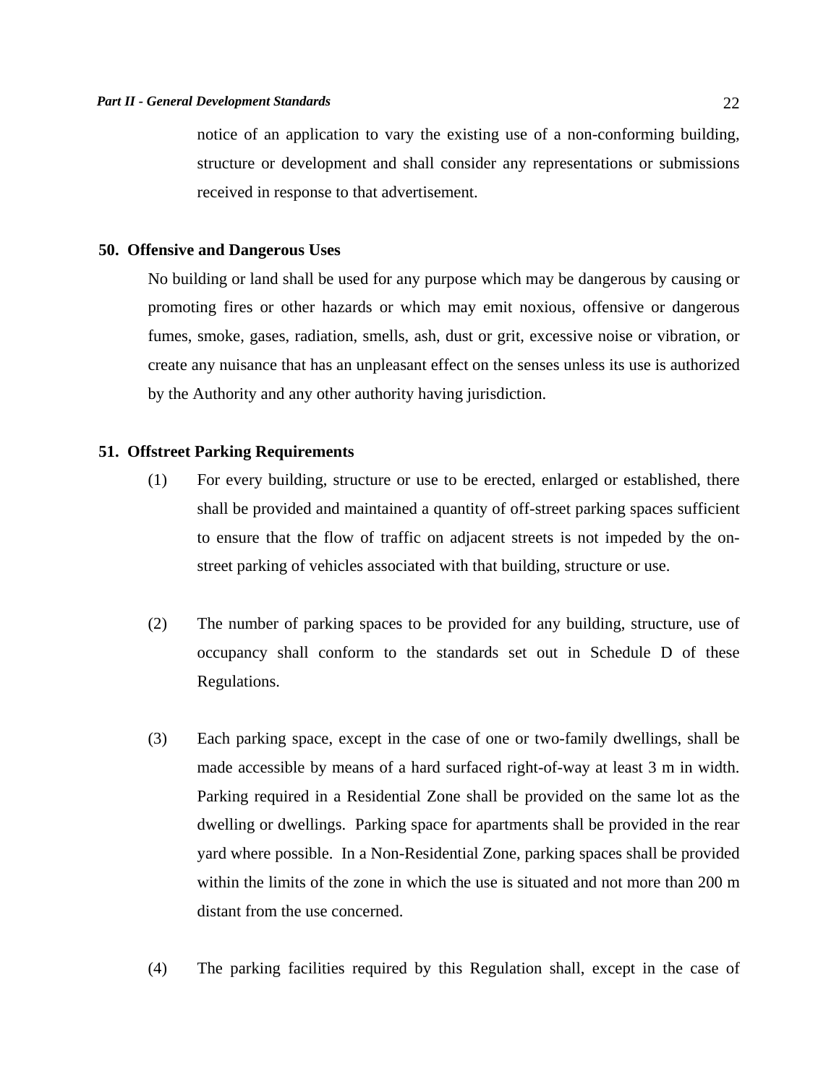notice of an application to vary the existing use of a non-conforming building, structure or development and shall consider any representations or submissions received in response to that advertisement.

#### **50. Offensive and Dangerous Uses**

No building or land shall be used for any purpose which may be dangerous by causing or promoting fires or other hazards or which may emit noxious, offensive or dangerous fumes, smoke, gases, radiation, smells, ash, dust or grit, excessive noise or vibration, or create any nuisance that has an unpleasant effect on the senses unless its use is authorized by the Authority and any other authority having jurisdiction.

## **51. Offstreet Parking Requirements**

- (1) For every building, structure or use to be erected, enlarged or established, there shall be provided and maintained a quantity of off-street parking spaces sufficient to ensure that the flow of traffic on adjacent streets is not impeded by the onstreet parking of vehicles associated with that building, structure or use.
- (2) The number of parking spaces to be provided for any building, structure, use of occupancy shall conform to the standards set out in Schedule D of these Regulations.
- (3) Each parking space, except in the case of one or two-family dwellings, shall be made accessible by means of a hard surfaced right-of-way at least 3 m in width. Parking required in a Residential Zone shall be provided on the same lot as the dwelling or dwellings. Parking space for apartments shall be provided in the rear yard where possible. In a Non-Residential Zone, parking spaces shall be provided within the limits of the zone in which the use is situated and not more than 200 m distant from the use concerned.
- (4) The parking facilities required by this Regulation shall, except in the case of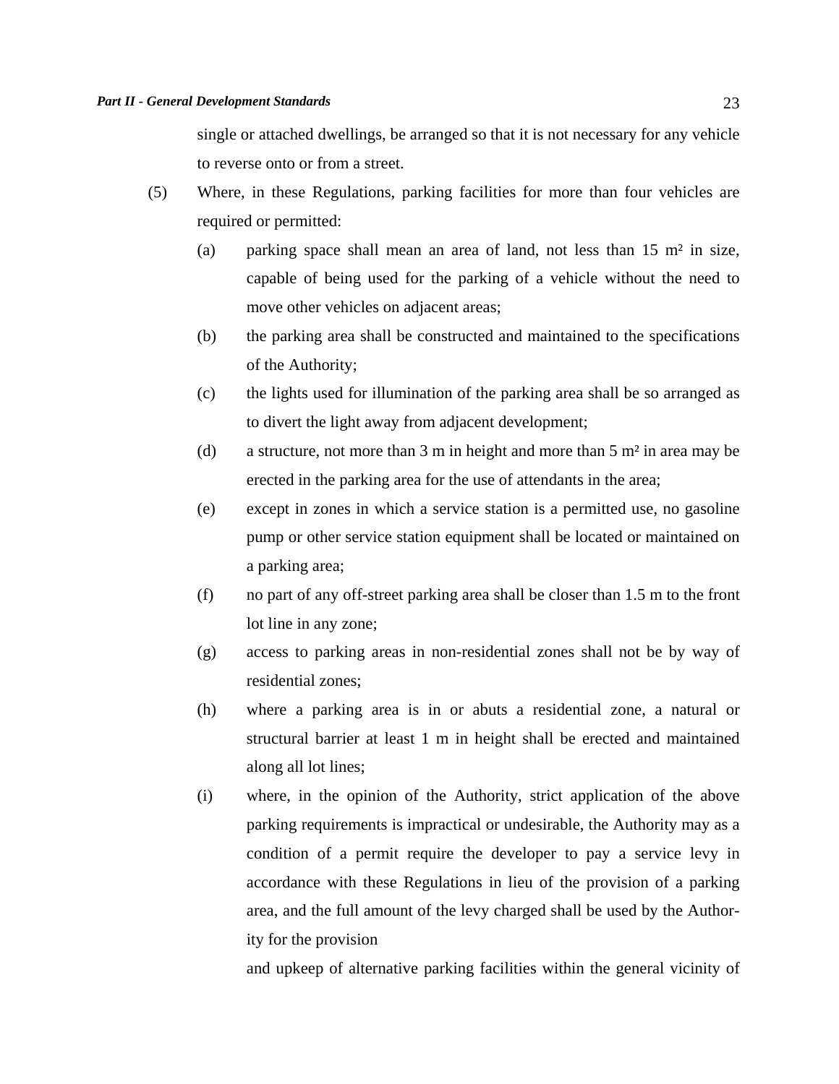single or attached dwellings, be arranged so that it is not necessary for any vehicle to reverse onto or from a street.

- (5) Where, in these Regulations, parking facilities for more than four vehicles are required or permitted:
	- (a) parking space shall mean an area of land, not less than 15 m² in size, capable of being used for the parking of a vehicle without the need to move other vehicles on adjacent areas;
	- (b) the parking area shall be constructed and maintained to the specifications of the Authority;
	- (c) the lights used for illumination of the parking area shall be so arranged as to divert the light away from adjacent development;
	- (d) a structure, not more than 3 m in height and more than 5 m² in area may be erected in the parking area for the use of attendants in the area;
	- (e) except in zones in which a service station is a permitted use, no gasoline pump or other service station equipment shall be located or maintained on a parking area;
	- (f) no part of any off-street parking area shall be closer than 1.5 m to the front lot line in any zone;
	- (g) access to parking areas in non-residential zones shall not be by way of residential zones;
	- (h) where a parking area is in or abuts a residential zone, a natural or structural barrier at least 1 m in height shall be erected and maintained along all lot lines;
	- (i) where, in the opinion of the Authority, strict application of the above parking requirements is impractical or undesirable, the Authority may as a condition of a permit require the developer to pay a service levy in accordance with these Regulations in lieu of the provision of a parking area, and the full amount of the levy charged shall be used by the Authority for the provision

and upkeep of alternative parking facilities within the general vicinity of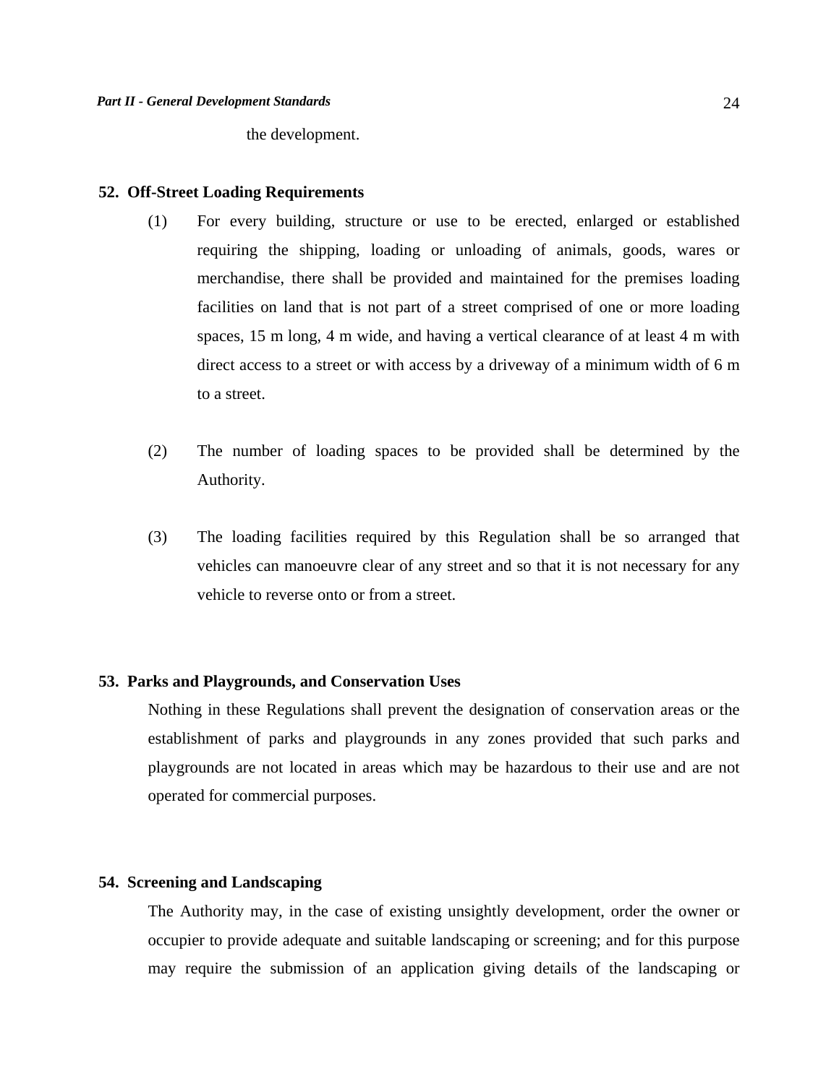the development.

#### **52. Off-Street Loading Requirements**

- (1) For every building, structure or use to be erected, enlarged or established requiring the shipping, loading or unloading of animals, goods, wares or merchandise, there shall be provided and maintained for the premises loading facilities on land that is not part of a street comprised of one or more loading spaces, 15 m long, 4 m wide, and having a vertical clearance of at least 4 m with direct access to a street or with access by a driveway of a minimum width of 6 m to a street.
- (2) The number of loading spaces to be provided shall be determined by the Authority.
- (3) The loading facilities required by this Regulation shall be so arranged that vehicles can manoeuvre clear of any street and so that it is not necessary for any vehicle to reverse onto or from a street.

## **53. Parks and Playgrounds, and Conservation Uses**

 Nothing in these Regulations shall prevent the designation of conservation areas or the establishment of parks and playgrounds in any zones provided that such parks and playgrounds are not located in areas which may be hazardous to their use and are not operated for commercial purposes.

#### **54. Screening and Landscaping**

 The Authority may, in the case of existing unsightly development, order the owner or occupier to provide adequate and suitable landscaping or screening; and for this purpose may require the submission of an application giving details of the landscaping or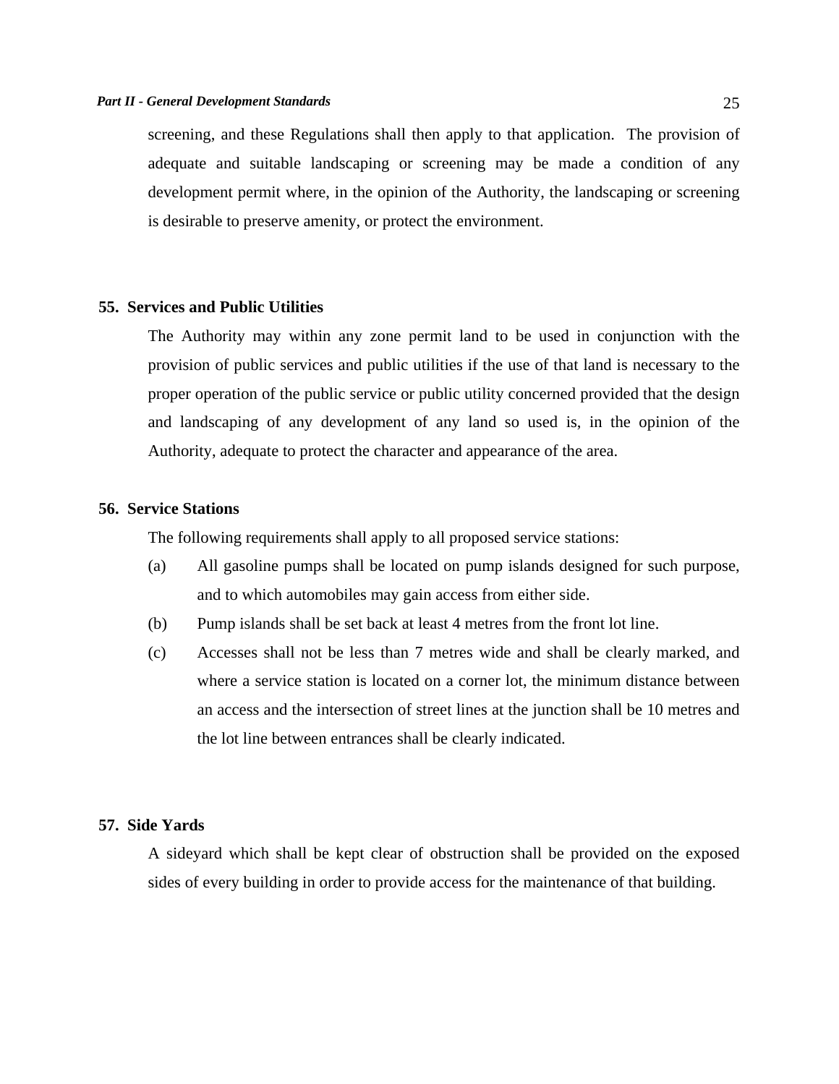#### *Part II - General Development Standards* 25

screening, and these Regulations shall then apply to that application. The provision of adequate and suitable landscaping or screening may be made a condition of any development permit where, in the opinion of the Authority, the landscaping or screening is desirable to preserve amenity, or protect the environment.

## **55. Services and Public Utilities**

 The Authority may within any zone permit land to be used in conjunction with the provision of public services and public utilities if the use of that land is necessary to the proper operation of the public service or public utility concerned provided that the design and landscaping of any development of any land so used is, in the opinion of the Authority, adequate to protect the character and appearance of the area.

## **56. Service Stations**

The following requirements shall apply to all proposed service stations:

- (a) All gasoline pumps shall be located on pump islands designed for such purpose, and to which automobiles may gain access from either side.
- (b) Pump islands shall be set back at least 4 metres from the front lot line.
- (c) Accesses shall not be less than 7 metres wide and shall be clearly marked, and where a service station is located on a corner lot, the minimum distance between an access and the intersection of street lines at the junction shall be 10 metres and the lot line between entrances shall be clearly indicated.

#### **57. Side Yards**

 A sideyard which shall be kept clear of obstruction shall be provided on the exposed sides of every building in order to provide access for the maintenance of that building.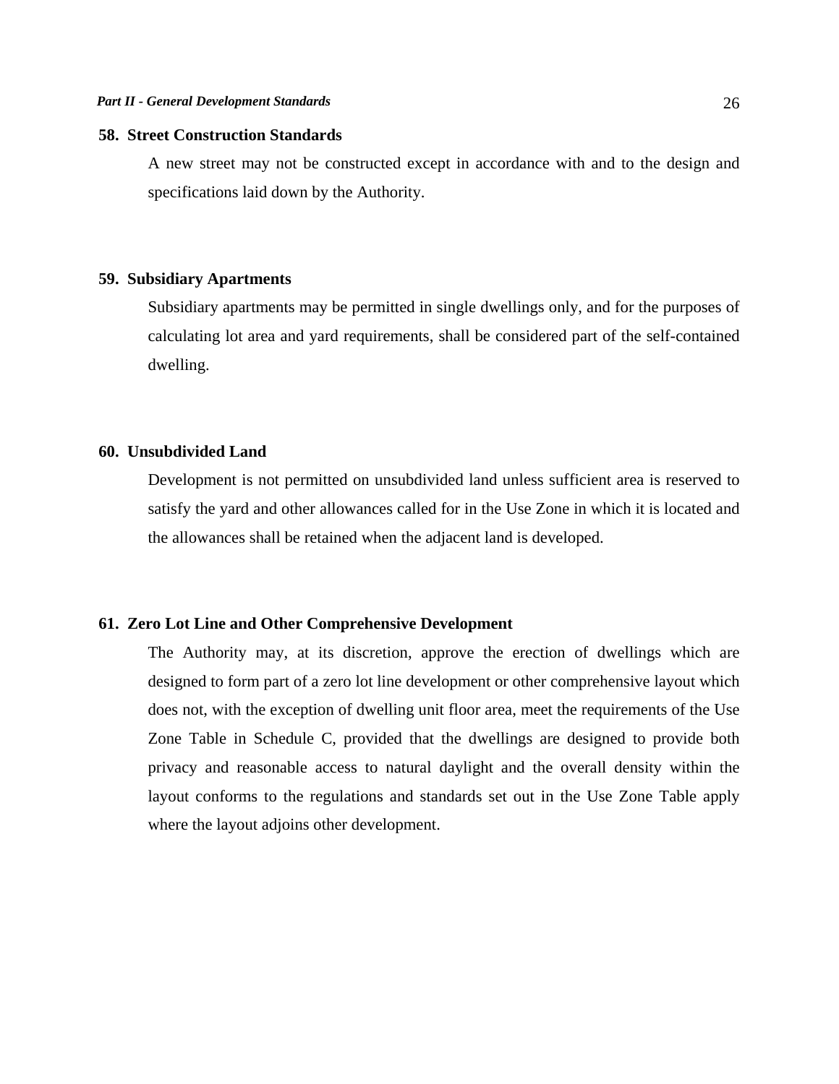## **58. Street Construction Standards**

 A new street may not be constructed except in accordance with and to the design and specifications laid down by the Authority.

#### **59. Subsidiary Apartments**

 Subsidiary apartments may be permitted in single dwellings only, and for the purposes of calculating lot area and yard requirements, shall be considered part of the self-contained dwelling.

## **60. Unsubdivided Land**

 Development is not permitted on unsubdivided land unless sufficient area is reserved to satisfy the yard and other allowances called for in the Use Zone in which it is located and the allowances shall be retained when the adjacent land is developed.

## **61. Zero Lot Line and Other Comprehensive Development**

 The Authority may, at its discretion, approve the erection of dwellings which are designed to form part of a zero lot line development or other comprehensive layout which does not, with the exception of dwelling unit floor area, meet the requirements of the Use Zone Table in Schedule C, provided that the dwellings are designed to provide both privacy and reasonable access to natural daylight and the overall density within the layout conforms to the regulations and standards set out in the Use Zone Table apply where the layout adjoins other development.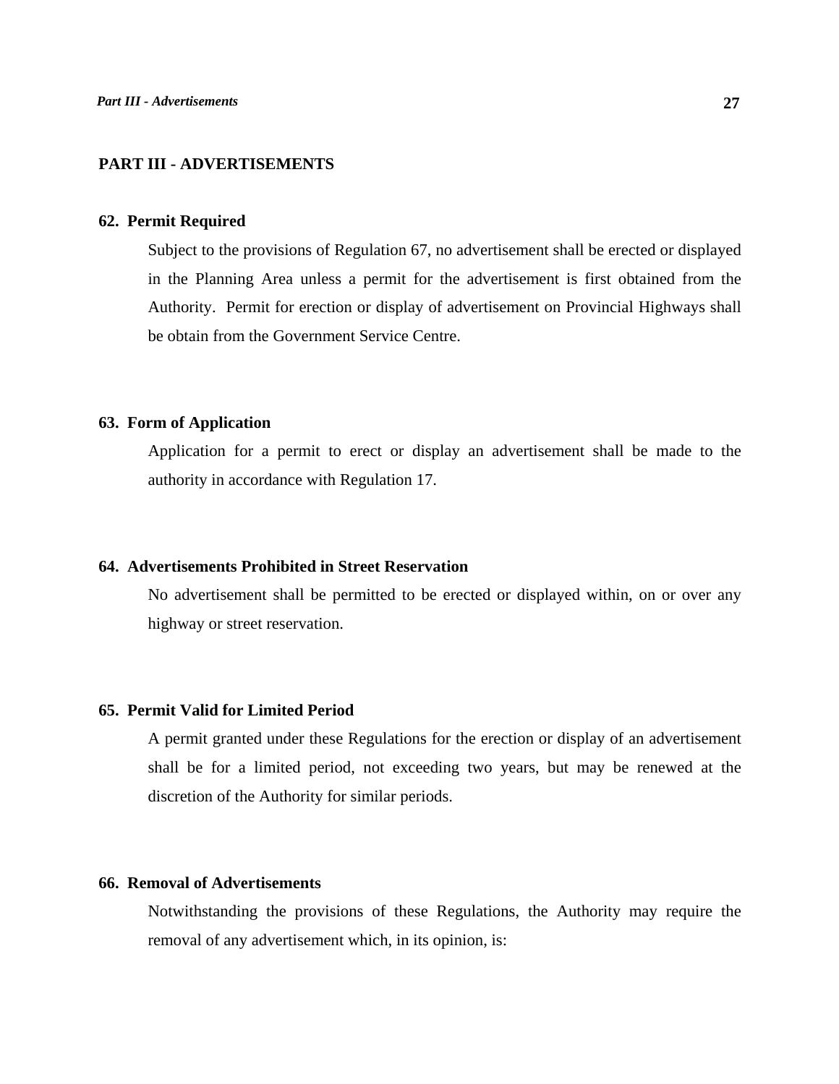## **PART III - ADVERTISEMENTS**

#### **62. Permit Required**

 Subject to the provisions of Regulation 67, no advertisement shall be erected or displayed in the Planning Area unless a permit for the advertisement is first obtained from the Authority. Permit for erection or display of advertisement on Provincial Highways shall be obtain from the Government Service Centre.

## **63. Form of Application**

 Application for a permit to erect or display an advertisement shall be made to the authority in accordance with Regulation 17.

## **64. Advertisements Prohibited in Street Reservation**

 No advertisement shall be permitted to be erected or displayed within, on or over any highway or street reservation.

## **65. Permit Valid for Limited Period**

 A permit granted under these Regulations for the erection or display of an advertisement shall be for a limited period, not exceeding two years, but may be renewed at the discretion of the Authority for similar periods.

## **66. Removal of Advertisements**

 Notwithstanding the provisions of these Regulations, the Authority may require the removal of any advertisement which, in its opinion, is: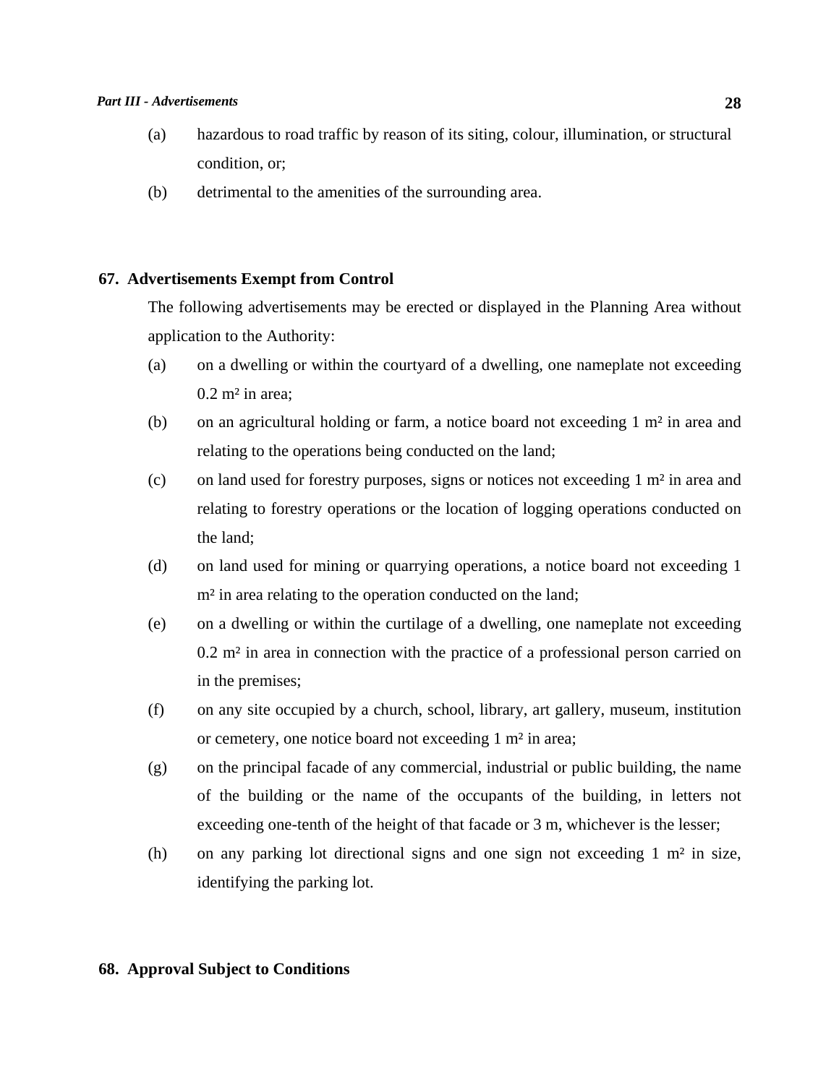#### *Part III - Advertisements* **28**

- (a) hazardous to road traffic by reason of its siting, colour, illumination, or structural condition, or;
- (b) detrimental to the amenities of the surrounding area.

## **67. Advertisements Exempt from Control**

 The following advertisements may be erected or displayed in the Planning Area without application to the Authority:

- (a) on a dwelling or within the courtyard of a dwelling, one nameplate not exceeding  $0.2$  m<sup>2</sup> in area;
- (b) on an agricultural holding or farm, a notice board not exceeding 1 m² in area and relating to the operations being conducted on the land;
- (c) on land used for forestry purposes, signs or notices not exceeding 1 m² in area and relating to forestry operations or the location of logging operations conducted on the land;
- (d) on land used for mining or quarrying operations, a notice board not exceeding 1 m<sup>2</sup> in area relating to the operation conducted on the land;
- (e) on a dwelling or within the curtilage of a dwelling, one nameplate not exceeding 0.2 m² in area in connection with the practice of a professional person carried on in the premises;
- (f) on any site occupied by a church, school, library, art gallery, museum, institution or cemetery, one notice board not exceeding 1 m² in area;
- (g) on the principal facade of any commercial, industrial or public building, the name of the building or the name of the occupants of the building, in letters not exceeding one-tenth of the height of that facade or 3 m, whichever is the lesser;
- (h) on any parking lot directional signs and one sign not exceeding 1 m² in size, identifying the parking lot.

## **68. Approval Subject to Conditions**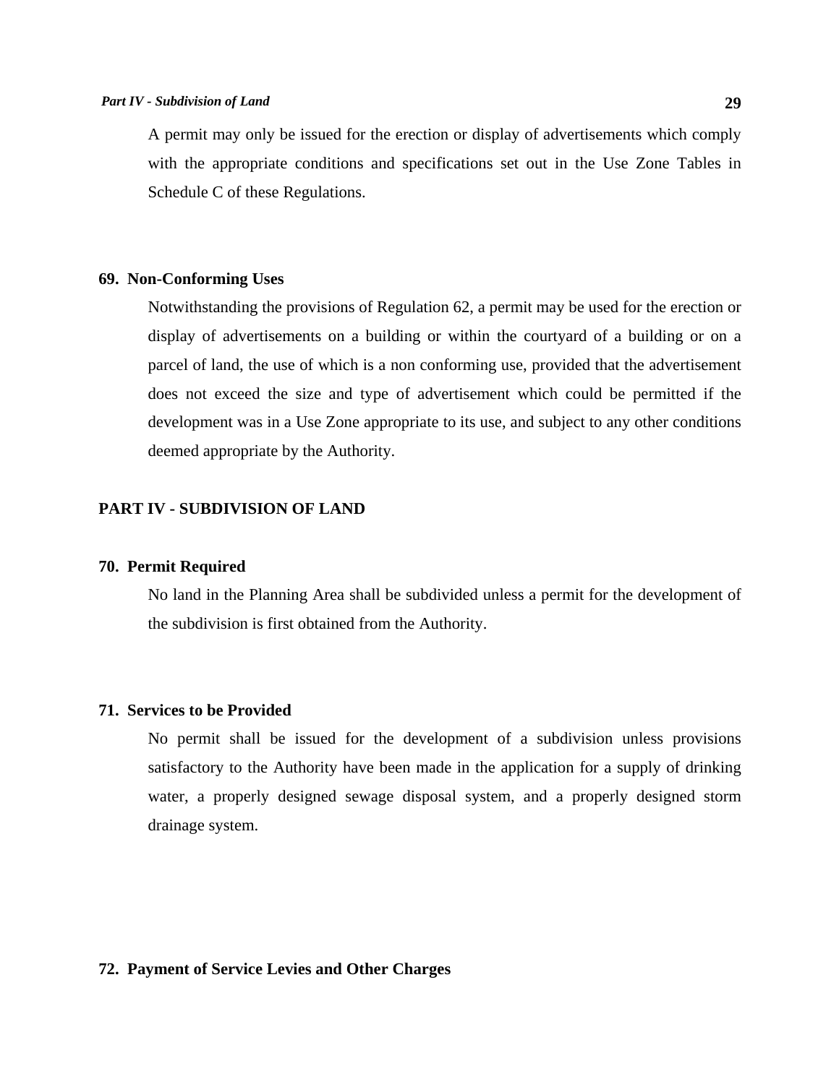A permit may only be issued for the erection or display of advertisements which comply with the appropriate conditions and specifications set out in the Use Zone Tables in Schedule C of these Regulations.

### **69. Non-Conforming Uses**

 Notwithstanding the provisions of Regulation 62, a permit may be used for the erection or display of advertisements on a building or within the courtyard of a building or on a parcel of land, the use of which is a non conforming use, provided that the advertisement does not exceed the size and type of advertisement which could be permitted if the development was in a Use Zone appropriate to its use, and subject to any other conditions deemed appropriate by the Authority.

## **PART IV - SUBDIVISION OF LAND**

## **70. Permit Required**

 No land in the Planning Area shall be subdivided unless a permit for the development of the subdivision is first obtained from the Authority.

## **71. Services to be Provided**

 No permit shall be issued for the development of a subdivision unless provisions satisfactory to the Authority have been made in the application for a supply of drinking water, a properly designed sewage disposal system, and a properly designed storm drainage system.

#### **72. Payment of Service Levies and Other Charges**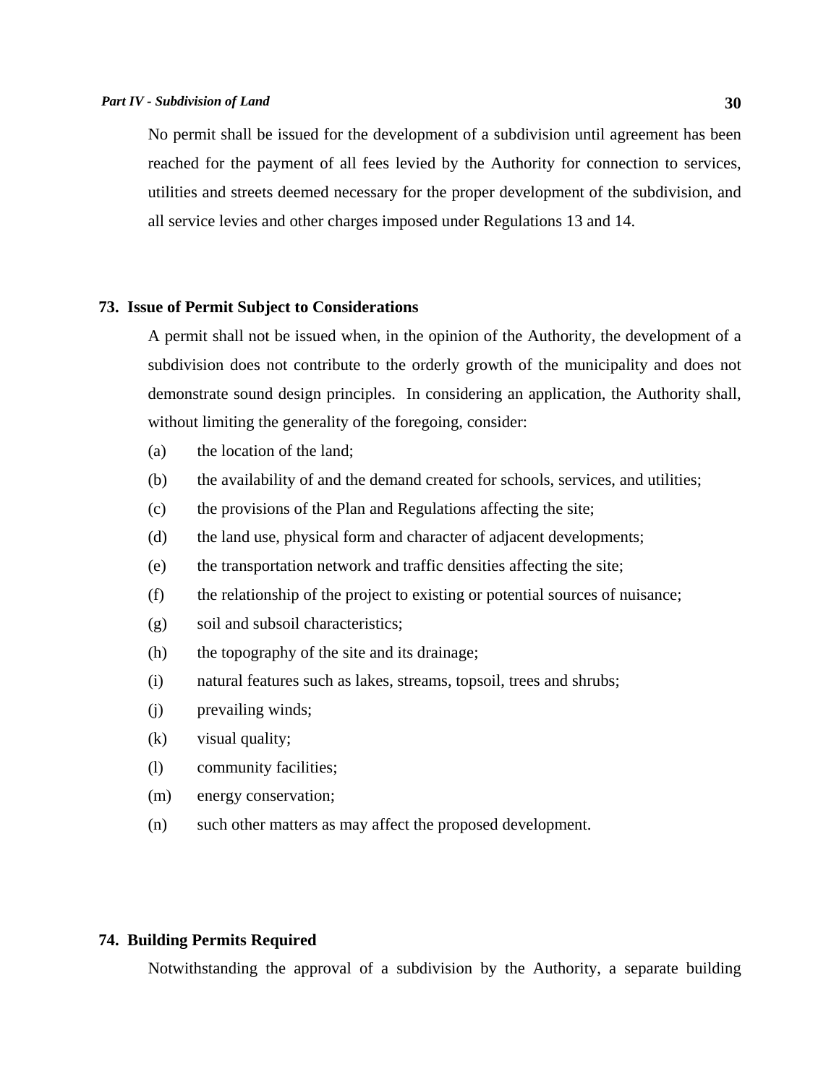#### *Part IV - Subdivision of Land* **30**

 No permit shall be issued for the development of a subdivision until agreement has been reached for the payment of all fees levied by the Authority for connection to services, utilities and streets deemed necessary for the proper development of the subdivision, and all service levies and other charges imposed under Regulations 13 and 14.

## **73. Issue of Permit Subject to Considerations**

 A permit shall not be issued when, in the opinion of the Authority, the development of a subdivision does not contribute to the orderly growth of the municipality and does not demonstrate sound design principles. In considering an application, the Authority shall, without limiting the generality of the foregoing, consider:

- (a) the location of the land;
- (b) the availability of and the demand created for schools, services, and utilities;
- (c) the provisions of the Plan and Regulations affecting the site;
- (d) the land use, physical form and character of adjacent developments;
- (e) the transportation network and traffic densities affecting the site;
- (f) the relationship of the project to existing or potential sources of nuisance;
- (g) soil and subsoil characteristics;
- (h) the topography of the site and its drainage;
- (i) natural features such as lakes, streams, topsoil, trees and shrubs;
- (j) prevailing winds;
- (k) visual quality;
- (l) community facilities;
- (m) energy conservation;
- (n) such other matters as may affect the proposed development.

## **74. Building Permits Required**

Notwithstanding the approval of a subdivision by the Authority, a separate building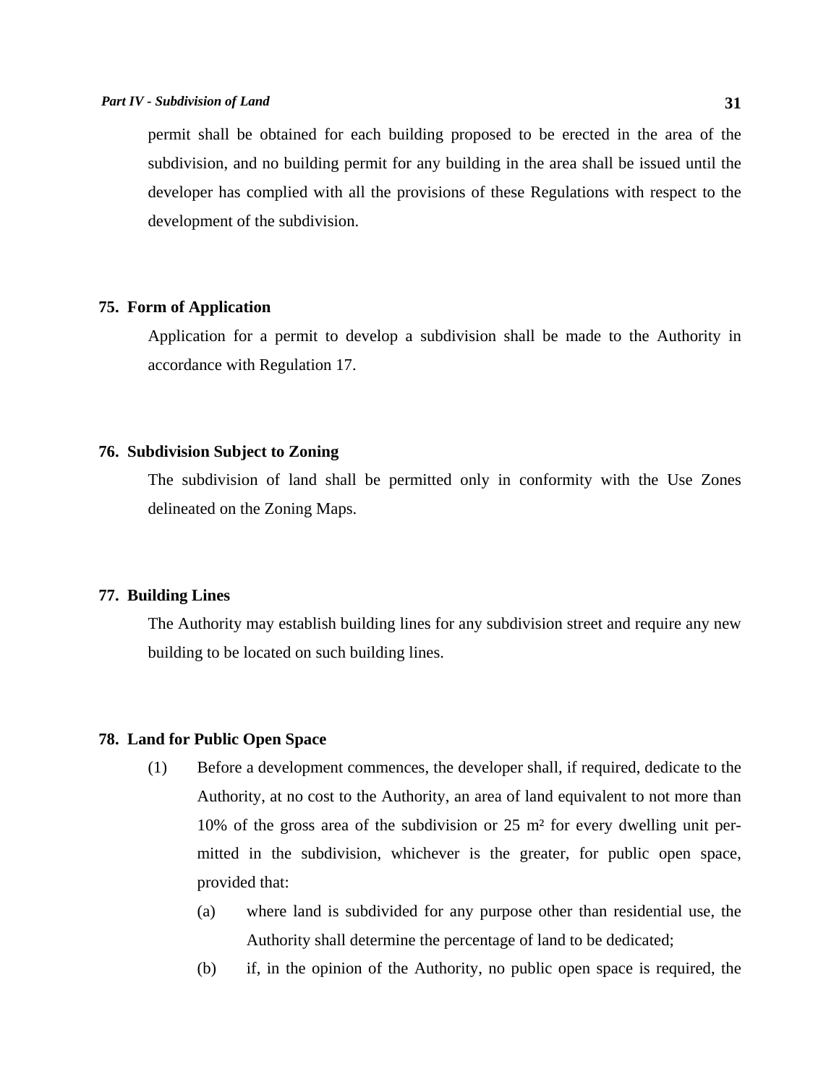permit shall be obtained for each building proposed to be erected in the area of the subdivision, and no building permit for any building in the area shall be issued until the developer has complied with all the provisions of these Regulations with respect to the development of the subdivision.

## **75. Form of Application**

 Application for a permit to develop a subdivision shall be made to the Authority in accordance with Regulation 17.

## **76. Subdivision Subject to Zoning**

 The subdivision of land shall be permitted only in conformity with the Use Zones delineated on the Zoning Maps.

## **77. Building Lines**

 The Authority may establish building lines for any subdivision street and require any new building to be located on such building lines.

## **78. Land for Public Open Space**

- (1) Before a development commences, the developer shall, if required, dedicate to the Authority, at no cost to the Authority, an area of land equivalent to not more than 10% of the gross area of the subdivision or 25 m² for every dwelling unit permitted in the subdivision, whichever is the greater, for public open space, provided that:
	- (a) where land is subdivided for any purpose other than residential use, the Authority shall determine the percentage of land to be dedicated;
	- (b) if, in the opinion of the Authority, no public open space is required, the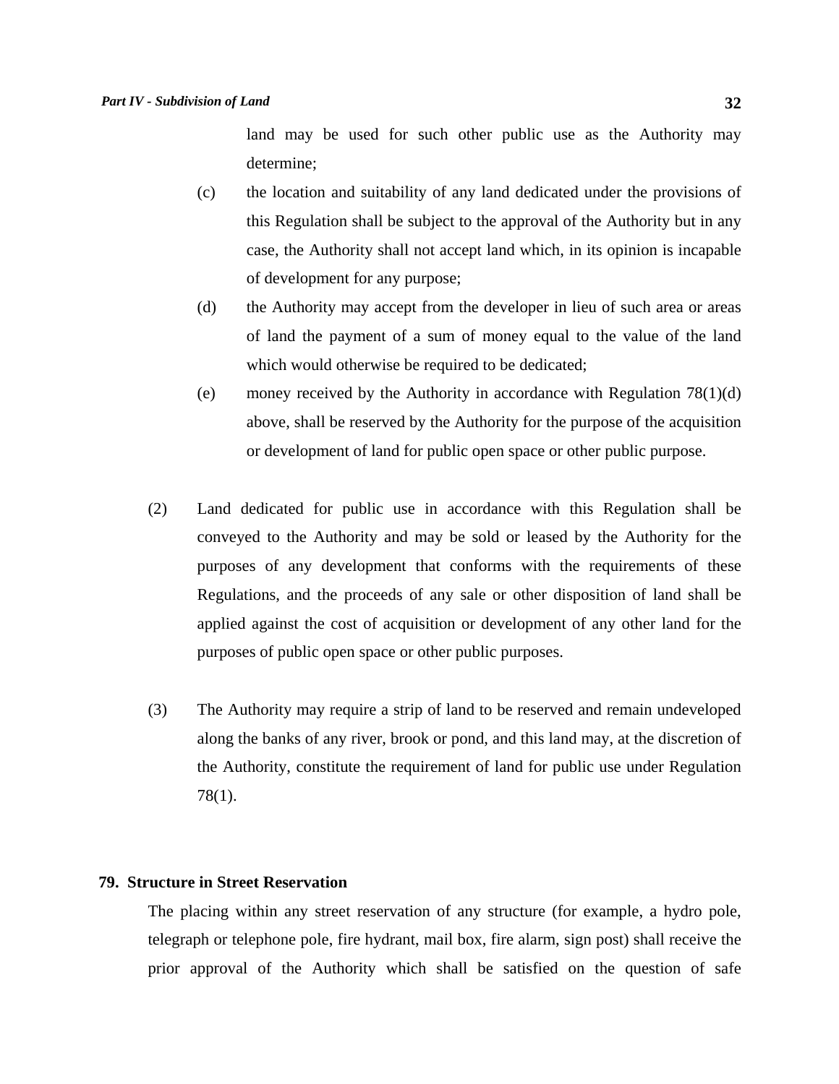land may be used for such other public use as the Authority may determine;

- (c) the location and suitability of any land dedicated under the provisions of this Regulation shall be subject to the approval of the Authority but in any case, the Authority shall not accept land which, in its opinion is incapable of development for any purpose;
- (d) the Authority may accept from the developer in lieu of such area or areas of land the payment of a sum of money equal to the value of the land which would otherwise be required to be dedicated;
- (e) money received by the Authority in accordance with Regulation  $78(1)(d)$ above, shall be reserved by the Authority for the purpose of the acquisition or development of land for public open space or other public purpose.
- (2) Land dedicated for public use in accordance with this Regulation shall be conveyed to the Authority and may be sold or leased by the Authority for the purposes of any development that conforms with the requirements of these Regulations, and the proceeds of any sale or other disposition of land shall be applied against the cost of acquisition or development of any other land for the purposes of public open space or other public purposes.
- (3) The Authority may require a strip of land to be reserved and remain undeveloped along the banks of any river, brook or pond, and this land may, at the discretion of the Authority, constitute the requirement of land for public use under Regulation 78(1).

#### **79. Structure in Street Reservation**

 The placing within any street reservation of any structure (for example, a hydro pole, telegraph or telephone pole, fire hydrant, mail box, fire alarm, sign post) shall receive the prior approval of the Authority which shall be satisfied on the question of safe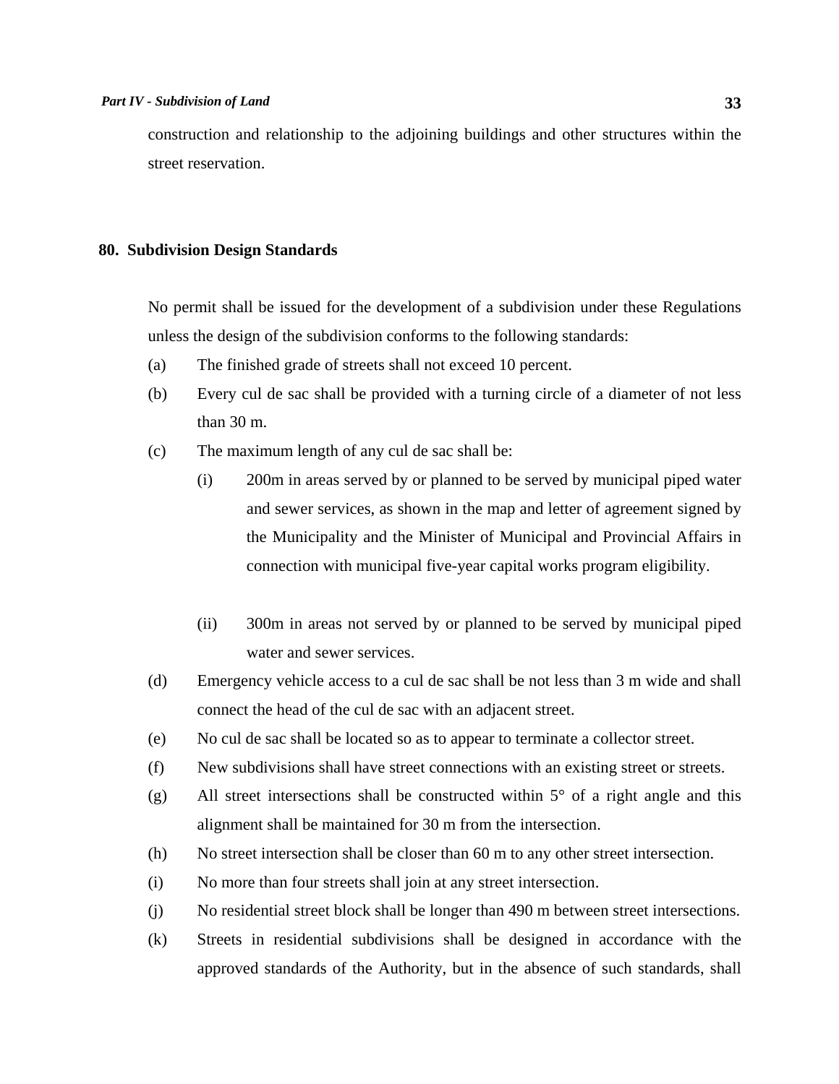construction and relationship to the adjoining buildings and other structures within the street reservation.

### **80. Subdivision Design Standards**

 No permit shall be issued for the development of a subdivision under these Regulations unless the design of the subdivision conforms to the following standards:

- (a) The finished grade of streets shall not exceed 10 percent.
- (b) Every cul de sac shall be provided with a turning circle of a diameter of not less than 30 m.
- (c) The maximum length of any cul de sac shall be:
	- (i) 200m in areas served by or planned to be served by municipal piped water and sewer services, as shown in the map and letter of agreement signed by the Municipality and the Minister of Municipal and Provincial Affairs in connection with municipal five-year capital works program eligibility.
	- (ii) 300m in areas not served by or planned to be served by municipal piped water and sewer services.
- (d) Emergency vehicle access to a cul de sac shall be not less than 3 m wide and shall connect the head of the cul de sac with an adjacent street.
- (e) No cul de sac shall be located so as to appear to terminate a collector street.
- (f) New subdivisions shall have street connections with an existing street or streets.
- (g) All street intersections shall be constructed within 5° of a right angle and this alignment shall be maintained for 30 m from the intersection.
- (h) No street intersection shall be closer than 60 m to any other street intersection.
- (i) No more than four streets shall join at any street intersection.
- (j) No residential street block shall be longer than 490 m between street intersections.
- (k) Streets in residential subdivisions shall be designed in accordance with the approved standards of the Authority, but in the absence of such standards, shall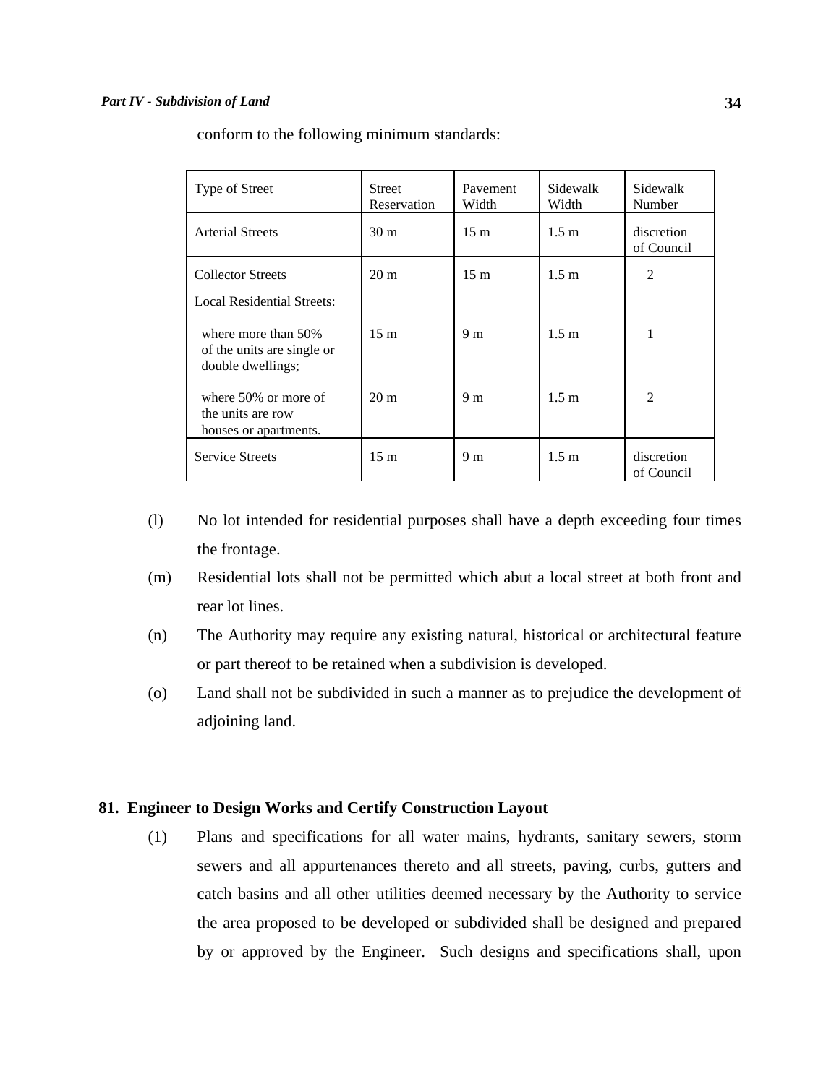| Type of Street                                                            | Street<br>Reservation | Pavement<br>Width | Sidewalk<br>Width | Sidewalk<br>Number       |
|---------------------------------------------------------------------------|-----------------------|-------------------|-------------------|--------------------------|
| <b>Arterial Streets</b>                                                   | 30 <sub>m</sub>       | 15 <sub>m</sub>   | 1.5 m             | discretion<br>of Council |
| <b>Collector Streets</b>                                                  | $20 \text{ m}$        | 15 <sub>m</sub>   | 1.5 <sub>m</sub>  | $\mathfrak{D}$           |
| <b>Local Residential Streets:</b>                                         |                       |                   |                   |                          |
| where more than $50\%$<br>of the units are single or<br>double dwellings; | 15 <sub>m</sub>       | 9 <sub>m</sub>    | 1.5 <sub>m</sub>  | 1                        |
| where 50% or more of<br>the units are row<br>houses or apartments.        | $20 \text{ m}$        | 9 <sub>m</sub>    | 1.5 <sub>m</sub>  | $\mathfrak{D}$           |
| <b>Service Streets</b>                                                    | 15 <sub>m</sub>       | 9 m               | 1.5 m             | discretion<br>of Council |

conform to the following minimum standards:

- (l) No lot intended for residential purposes shall have a depth exceeding four times the frontage.
- (m) Residential lots shall not be permitted which abut a local street at both front and rear lot lines.
- (n) The Authority may require any existing natural, historical or architectural feature or part thereof to be retained when a subdivision is developed.
- (o) Land shall not be subdivided in such a manner as to prejudice the development of adjoining land.

## **81. Engineer to Design Works and Certify Construction Layout**

 (1) Plans and specifications for all water mains, hydrants, sanitary sewers, storm sewers and all appurtenances thereto and all streets, paving, curbs, gutters and catch basins and all other utilities deemed necessary by the Authority to service the area proposed to be developed or subdivided shall be designed and prepared by or approved by the Engineer. Such designs and specifications shall, upon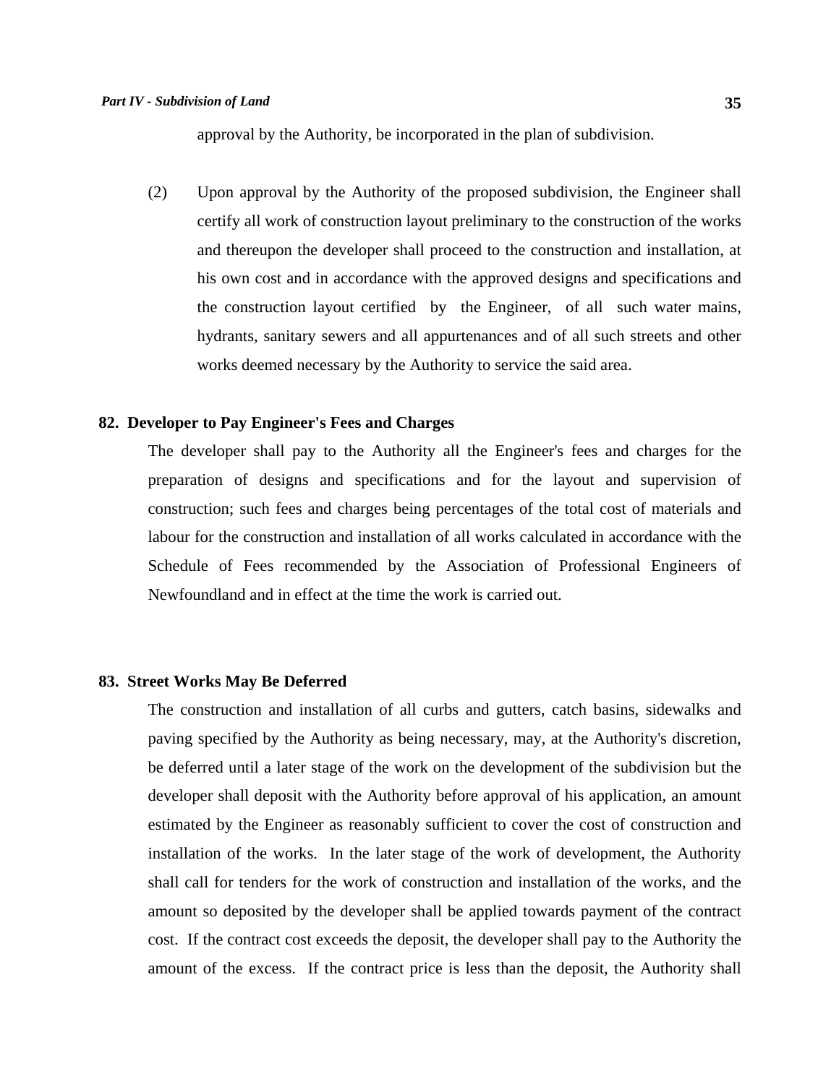approval by the Authority, be incorporated in the plan of subdivision.

 (2) Upon approval by the Authority of the proposed subdivision, the Engineer shall certify all work of construction layout preliminary to the construction of the works and thereupon the developer shall proceed to the construction and installation, at his own cost and in accordance with the approved designs and specifications and the construction layout certified by the Engineer, of all such water mains, hydrants, sanitary sewers and all appurtenances and of all such streets and other works deemed necessary by the Authority to service the said area.

## **82. Developer to Pay Engineer's Fees and Charges**

 The developer shall pay to the Authority all the Engineer's fees and charges for the preparation of designs and specifications and for the layout and supervision of construction; such fees and charges being percentages of the total cost of materials and labour for the construction and installation of all works calculated in accordance with the Schedule of Fees recommended by the Association of Professional Engineers of Newfoundland and in effect at the time the work is carried out.

## **83. Street Works May Be Deferred**

 The construction and installation of all curbs and gutters, catch basins, sidewalks and paving specified by the Authority as being necessary, may, at the Authority's discretion, be deferred until a later stage of the work on the development of the subdivision but the developer shall deposit with the Authority before approval of his application, an amount estimated by the Engineer as reasonably sufficient to cover the cost of construction and installation of the works. In the later stage of the work of development, the Authority shall call for tenders for the work of construction and installation of the works, and the amount so deposited by the developer shall be applied towards payment of the contract cost. If the contract cost exceeds the deposit, the developer shall pay to the Authority the amount of the excess. If the contract price is less than the deposit, the Authority shall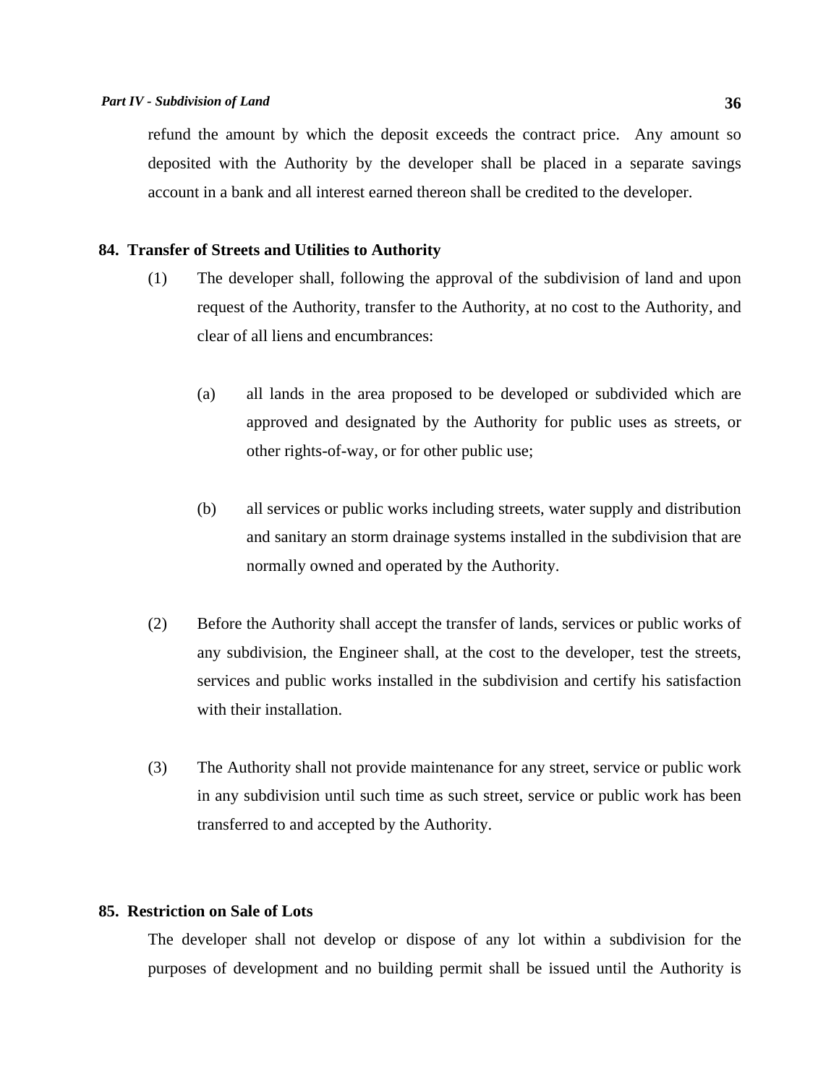refund the amount by which the deposit exceeds the contract price. Any amount so deposited with the Authority by the developer shall be placed in a separate savings account in a bank and all interest earned thereon shall be credited to the developer.

### **84. Transfer of Streets and Utilities to Authority**

- (1) The developer shall, following the approval of the subdivision of land and upon request of the Authority, transfer to the Authority, at no cost to the Authority, and clear of all liens and encumbrances:
	- (a) all lands in the area proposed to be developed or subdivided which are approved and designated by the Authority for public uses as streets, or other rights-of-way, or for other public use;
	- (b) all services or public works including streets, water supply and distribution and sanitary an storm drainage systems installed in the subdivision that are normally owned and operated by the Authority.
- (2) Before the Authority shall accept the transfer of lands, services or public works of any subdivision, the Engineer shall, at the cost to the developer, test the streets, services and public works installed in the subdivision and certify his satisfaction with their installation.
- (3) The Authority shall not provide maintenance for any street, service or public work in any subdivision until such time as such street, service or public work has been transferred to and accepted by the Authority.

## **85. Restriction on Sale of Lots**

 The developer shall not develop or dispose of any lot within a subdivision for the purposes of development and no building permit shall be issued until the Authority is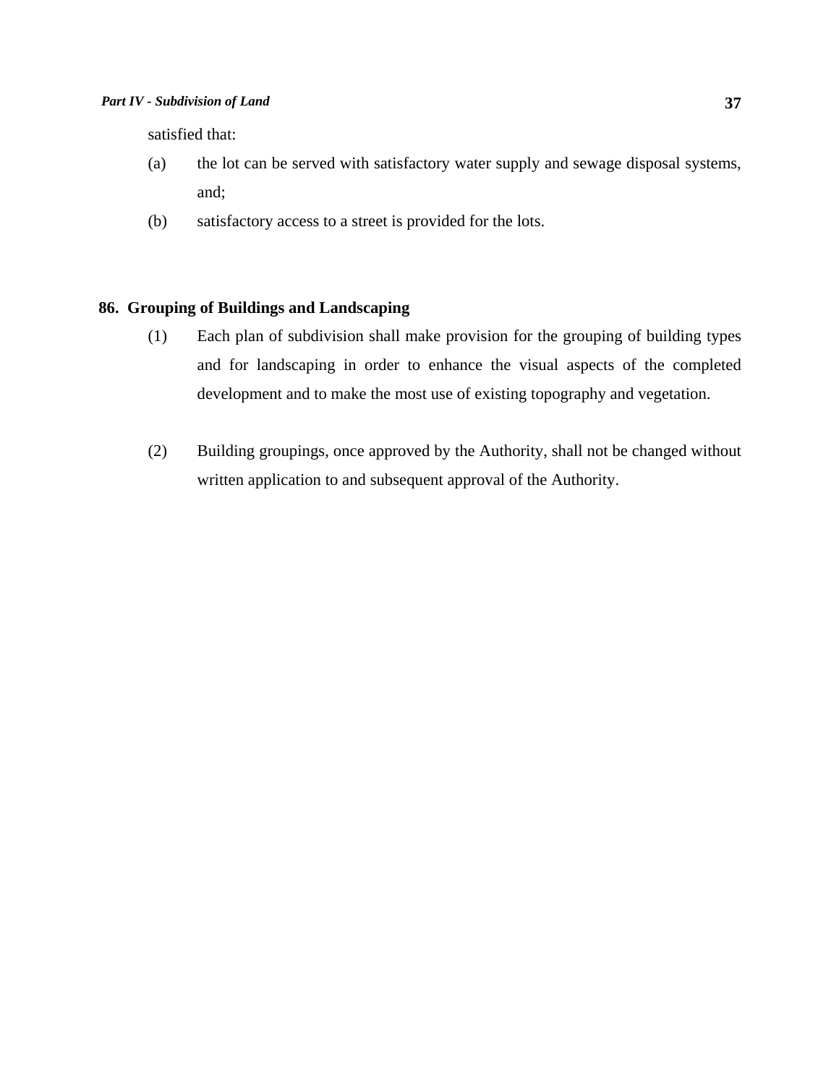satisfied that:

- (a) the lot can be served with satisfactory water supply and sewage disposal systems, and;
- (b) satisfactory access to a street is provided for the lots.

## **86. Grouping of Buildings and Landscaping**

- (1) Each plan of subdivision shall make provision for the grouping of building types and for landscaping in order to enhance the visual aspects of the completed development and to make the most use of existing topography and vegetation.
- (2) Building groupings, once approved by the Authority, shall not be changed without written application to and subsequent approval of the Authority.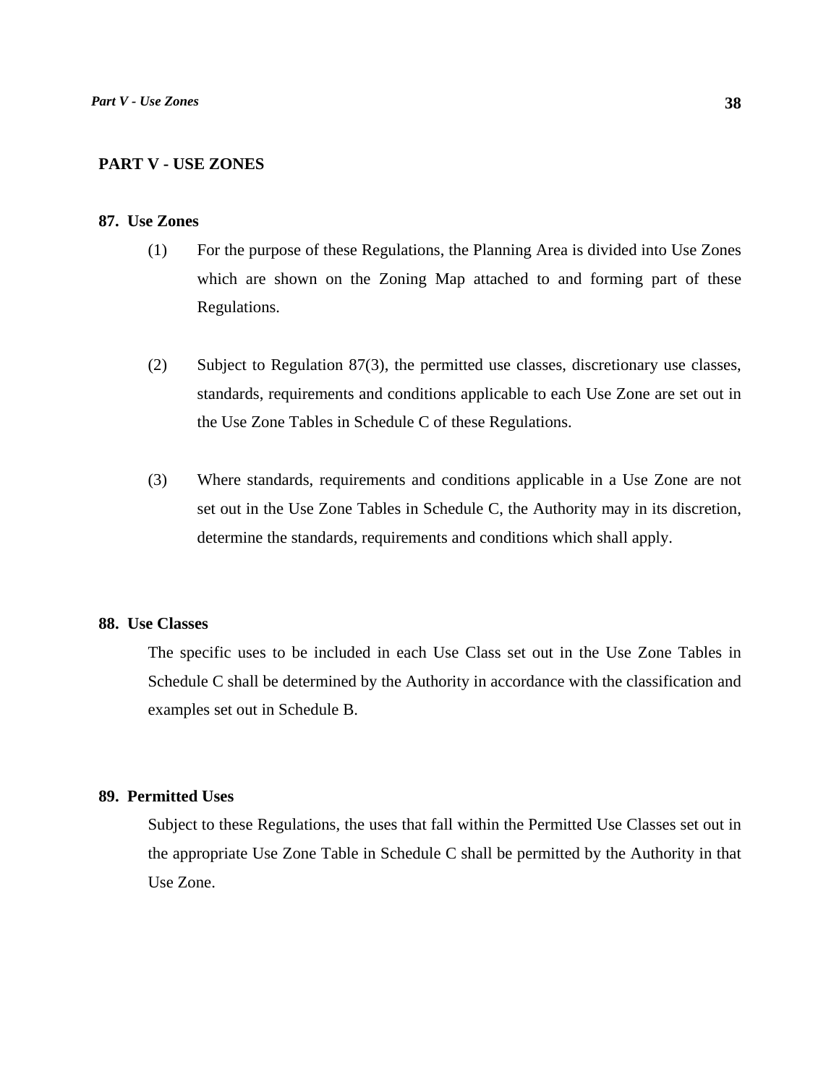## **PART V - USE ZONES**

### **87. Use Zones**

- (1) For the purpose of these Regulations, the Planning Area is divided into Use Zones which are shown on the Zoning Map attached to and forming part of these Regulations.
- (2) Subject to Regulation 87(3), the permitted use classes, discretionary use classes, standards, requirements and conditions applicable to each Use Zone are set out in the Use Zone Tables in Schedule C of these Regulations.
- (3) Where standards, requirements and conditions applicable in a Use Zone are not set out in the Use Zone Tables in Schedule C, the Authority may in its discretion, determine the standards, requirements and conditions which shall apply.

## **88. Use Classes**

 The specific uses to be included in each Use Class set out in the Use Zone Tables in Schedule C shall be determined by the Authority in accordance with the classification and examples set out in Schedule B.

## **89. Permitted Uses**

 Subject to these Regulations, the uses that fall within the Permitted Use Classes set out in the appropriate Use Zone Table in Schedule C shall be permitted by the Authority in that Use Zone.